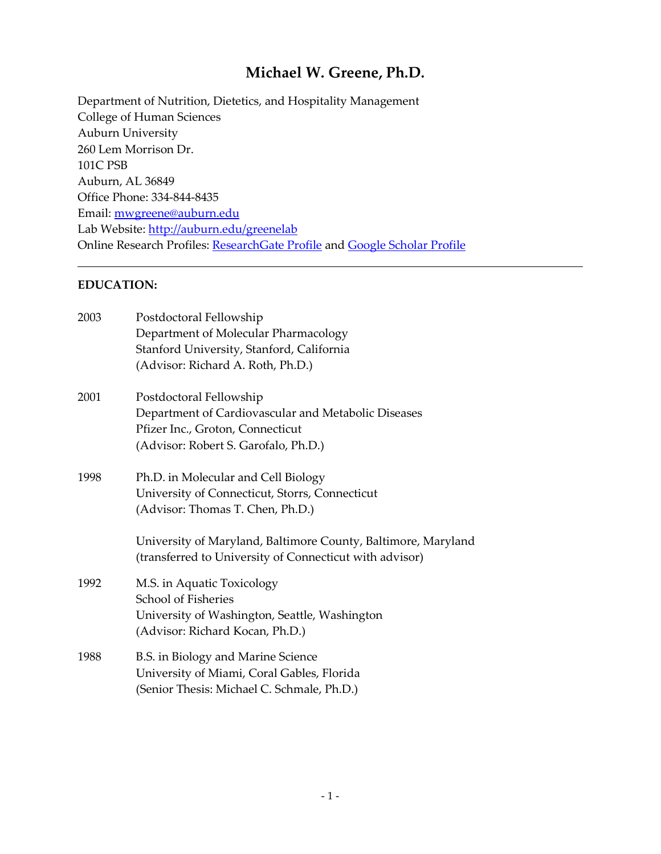# **Michael W. Greene, Ph.D.**

Department of Nutrition, Dietetics, and Hospitality Management College of Human Sciences Auburn University 260 Lem Morrison Dr. 101C PSB Auburn, AL 36849 Office Phone: 334-844-8435 Email: [mwgreene@auburn.edu](mailto:mwgreene@auburn.edu) Lab Website:<http://auburn.edu/greenelab> Online Research Profiles: [ResearchGate Profile](http://www.researchgate.net/profile/Michael_Greene4) and [Google Scholar Profile](http://scholar.google.com/citations?user=RLuYhqsAAAAJ&hl=en)

#### **EDUCATION:**

| 2003 | Postdoctoral Fellowship<br>Department of Molecular Pharmacology<br>Stanford University, Stanford, California<br>(Advisor: Richard A. Roth, Ph.D.)          |
|------|------------------------------------------------------------------------------------------------------------------------------------------------------------|
| 2001 | Postdoctoral Fellowship<br>Department of Cardiovascular and Metabolic Diseases<br>Pfizer Inc., Groton, Connecticut<br>(Advisor: Robert S. Garofalo, Ph.D.) |
| 1998 | Ph.D. in Molecular and Cell Biology<br>University of Connecticut, Storrs, Connecticut<br>(Advisor: Thomas T. Chen, Ph.D.)                                  |
|      | University of Maryland, Baltimore County, Baltimore, Maryland<br>(transferred to University of Connecticut with advisor)                                   |
| 1992 | M.S. in Aquatic Toxicology<br>School of Fisheries<br>University of Washington, Seattle, Washington<br>(Advisor: Richard Kocan, Ph.D.)                      |
| 1988 | B.S. in Biology and Marine Science<br>University of Miami, Coral Gables, Florida<br>(Senior Thesis: Michael C. Schmale, Ph.D.)                             |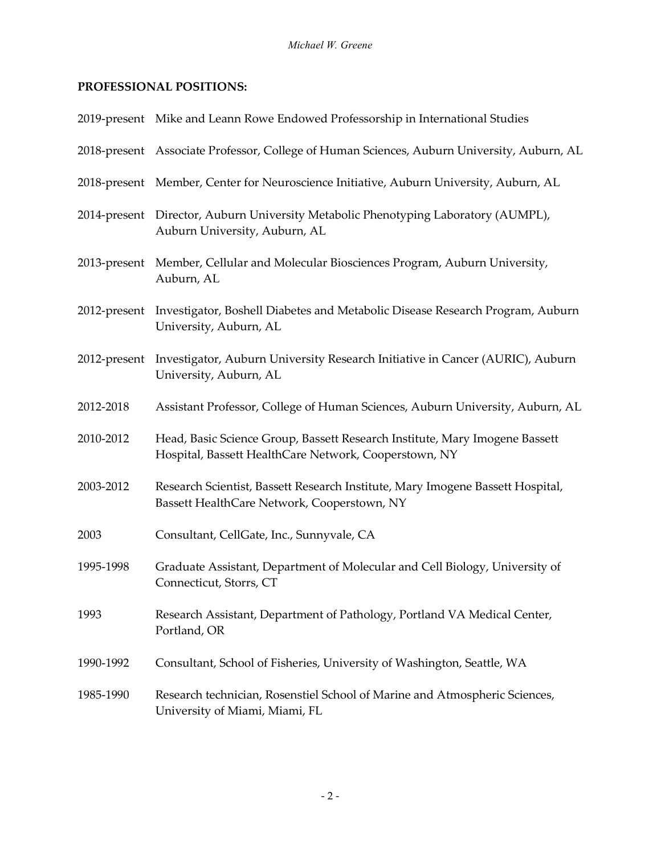## **PROFESSIONAL POSITIONS:**

|           | 2019-present Mike and Leann Rowe Endowed Professorship in International Studies                                                      |
|-----------|--------------------------------------------------------------------------------------------------------------------------------------|
|           | 2018-present Associate Professor, College of Human Sciences, Auburn University, Auburn, AL                                           |
|           | 2018-present Member, Center for Neuroscience Initiative, Auburn University, Auburn, AL                                               |
|           | 2014-present Director, Auburn University Metabolic Phenotyping Laboratory (AUMPL),<br>Auburn University, Auburn, AL                  |
|           | 2013-present Member, Cellular and Molecular Biosciences Program, Auburn University,<br>Auburn, AL                                    |
|           | 2012-present Investigator, Boshell Diabetes and Metabolic Disease Research Program, Auburn<br>University, Auburn, AL                 |
|           | 2012-present Investigator, Auburn University Research Initiative in Cancer (AURIC), Auburn<br>University, Auburn, AL                 |
| 2012-2018 | Assistant Professor, College of Human Sciences, Auburn University, Auburn, AL                                                        |
| 2010-2012 | Head, Basic Science Group, Bassett Research Institute, Mary Imogene Bassett<br>Hospital, Bassett HealthCare Network, Cooperstown, NY |
| 2003-2012 | Research Scientist, Bassett Research Institute, Mary Imogene Bassett Hospital,<br>Bassett HealthCare Network, Cooperstown, NY        |
| 2003      | Consultant, CellGate, Inc., Sunnyvale, CA                                                                                            |
| 1995-1998 | Graduate Assistant, Department of Molecular and Cell Biology, University of<br>Connecticut, Storrs, CT                               |
| 1993      | Research Assistant, Department of Pathology, Portland VA Medical Center,<br>Portland, OR                                             |
| 1990-1992 | Consultant, School of Fisheries, University of Washington, Seattle, WA                                                               |
| 1985-1990 | Research technician, Rosenstiel School of Marine and Atmospheric Sciences,<br>University of Miami, Miami, FL                         |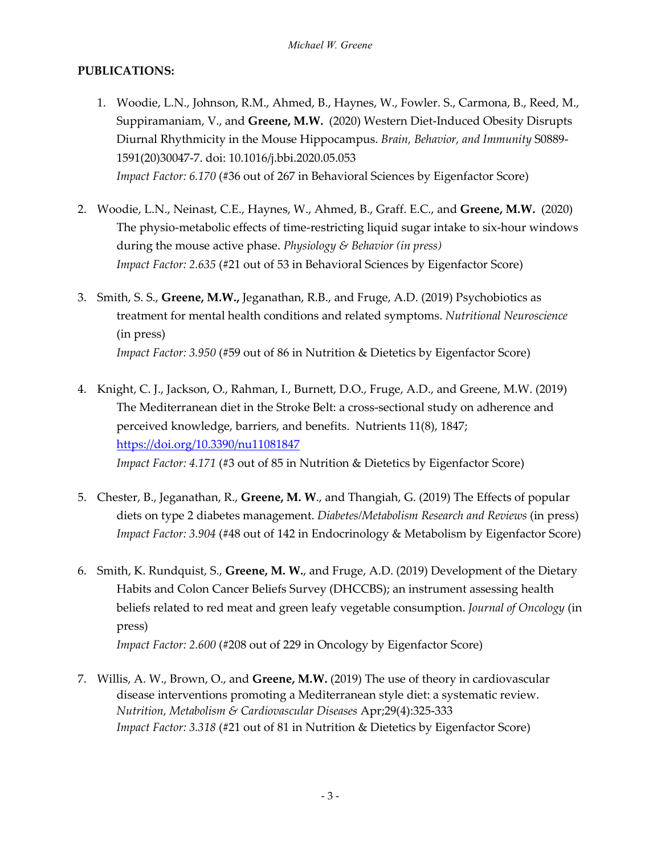## **PUBLICATIONS:**

- 1. Woodie, L.N., Johnson, R.M., Ahmed, B., Haynes, W., Fowler. S., Carmona, B., Reed, M., Suppiramaniam, V., and **Greene, M.W.** (2020) Western Diet-Induced Obesity Disrupts Diurnal Rhythmicity in the Mouse Hippocampus. *Brain, Behavior, and Immunity* S0889- 1591(20)30047-7. doi: 10.1016/j.bbi.2020.05.053 *Impact Factor: 6.170* (#36 out of 267 in Behavioral Sciences by Eigenfactor Score)
- 2. Woodie, L.N., Neinast, C.E., Haynes, W., Ahmed, B., Graff. E.C., and **Greene, M.W.** (2020) The physio-metabolic effects of time-restricting liquid sugar intake to six-hour windows during the mouse active phase. *Physiology & Behavior (in press) Impact Factor: 2.635* (#21 out of 53 in Behavioral Sciences by Eigenfactor Score)
- 3. Smith, S. S., **Greene, M.W.,** Jeganathan, R.B., and Fruge, A.D. (2019) Psychobiotics as treatment for mental health conditions and related symptoms. *Nutritional Neuroscience* (in press) *Impact Factor: 3.950* (#59 out of 86 in Nutrition & Dietetics by Eigenfactor Score)
- 4. Knight, C. J., Jackson, O., Rahman, I., Burnett, D.O., Fruge, A.D., and Greene, M.W. (2019) The Mediterranean diet in the Stroke Belt: a cross-sectional study on adherence and perceived knowledge, barriers, and benefits. Nutrients 11(8), 1847; <https://doi.org/10.3390/nu11081847> *Impact Factor: 4.171* (#3 out of 85 in Nutrition & Dietetics by Eigenfactor Score)
- 5. Chester, B., Jeganathan, R., **Greene, M. W**., and Thangiah, G. (2019) The Effects of popular diets on type 2 diabetes management. *Diabetes/Metabolism Research and Reviews* (in press) *Impact Factor: 3.904* (#48 out of 142 in Endocrinology & Metabolism by Eigenfactor Score)
- 6. Smith, K. Rundquist, S., **Greene, M. W.**, and Fruge, A.D. (2019) Development of the Dietary Habits and Colon Cancer Beliefs Survey (DHCCBS); an instrument assessing health beliefs related to red meat and green leafy vegetable consumption. *Journal of Oncology* (in press)

*Impact Factor: 2.600* (#208 out of 229 in Oncology by Eigenfactor Score)

7. Willis, A. W., Brown, O., and **Greene, M.W.** (2019) The use of theory in cardiovascular disease interventions promoting a Mediterranean style diet: a systematic review. *Nutrition, Metabolism & Cardiovascular Diseases* Apr;29(4):325-333 *Impact Factor: 3.318* (#21 out of 81 in Nutrition & Dietetics by Eigenfactor Score)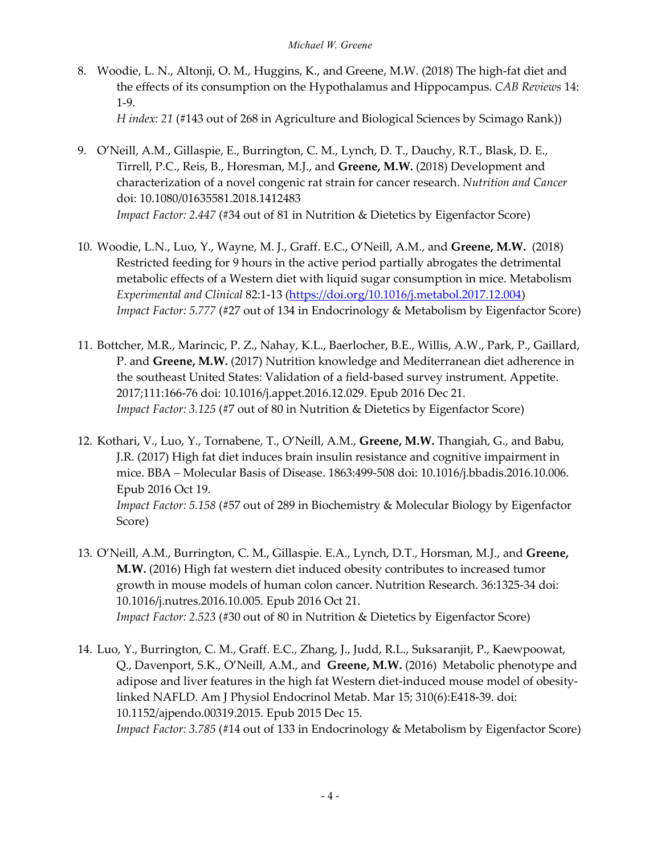- 8. Woodie, L. N., Altonji, O. M., Huggins, K., and Greene, M.W. (2018) The high-fat diet and the effects of its consumption on the Hypothalamus and Hippocampus. *CAB Reviews* 14: 1-9. *H index: 21* (#143 out of 268 in Agriculture and Biological Sciences by Scimago Rank))
- 9. O'Neill, A.M., Gillaspie, E., Burrington, C. M., Lynch, D. T., Dauchy, R.T., Blask, D. E., Tirrell, P.C., Reis, B., Horesman, M.J., and **Greene, M.W.** (2018) Development and characterization of a novel congenic rat strain for cancer research. *Nutrition and Cancer* doi: 10.1080/01635581.2018.1412483 *Impact Factor: 2.447* (#34 out of 81 in Nutrition & Dietetics by Eigenfactor Score)
- 10. Woodie, L.N., Luo, Y., Wayne, M. J., Graff. E.C., O'Neill, A.M., and **Greene, M.W.** (2018) Restricted feeding for 9 hours in the active period partially abrogates the detrimental metabolic effects of a Western diet with liquid sugar consumption in mice. Metabolism *Experimental and Clinical* 82:1-13 [\(https://doi.org/10.1016/j.metabol.2017.12.004\)](https://doi.org/10.1016/j.metabol.2017.12.004) *Impact Factor: 5.777* (#27 out of 134 in Endocrinology & Metabolism by Eigenfactor Score)
- 11. Bottcher, M.R., Marincic, P. Z., Nahay, K.L., Baerlocher, B.E., Willis, A.W., Park, P., Gaillard, P. and **Greene, M.W.** (2017) Nutrition knowledge and Mediterranean diet adherence in the southeast United States: Validation of a field-based survey instrument. Appetite. 2017;111:166-76 doi: 10.1016/j.appet.2016.12.029. Epub 2016 Dec 21. *Impact Factor: 3.125* (#7 out of 80 in Nutrition & Dietetics by Eigenfactor Score)
- 12. Kothari, V., Luo, Y., Tornabene, T., O'Neill, A.M., **Greene, M.W.** Thangiah, G., and Babu, J.R. (2017) High fat diet induces brain insulin resistance and cognitive impairment in mice. BBA – Molecular Basis of Disease. 1863:499-508 doi: 10.1016/j.bbadis.2016.10.006. Epub 2016 Oct 19. *Impact Factor: 5.158* (#57 out of 289 in Biochemistry & Molecular Biology by Eigenfactor Score)
- 13. O'Neill, A.M., Burrington, C. M., Gillaspie. E.A., Lynch, D.T., Horsman, M.J., and **Greene, M.W.** (2016) High fat western diet induced obesity contributes to increased tumor growth in mouse models of human colon cancer. Nutrition Research. 36:1325-34 doi: 10.1016/j.nutres.2016.10.005. Epub 2016 Oct 21. *Impact Factor: 2.523* (#30 out of 80 in Nutrition & Dietetics by Eigenfactor Score)
- 14. Luo, Y., Burrington, C. M., Graff. E.C., Zhang, J., Judd, R.L., Suksaranjit, P., Kaewpoowat, Q., Davenport, S.K., O'Neill, A.M., and **Greene, M.W.** (2016) Metabolic phenotype and adipose and liver features in the high fat Western diet-induced mouse model of obesitylinked NAFLD. Am J Physiol Endocrinol Metab. Mar 15; 310(6):E418-39. doi: 10.1152/ajpendo.00319.2015. Epub 2015 Dec 15. *Impact Factor: 3.785* (#14 out of 133 in Endocrinology & Metabolism by Eigenfactor Score)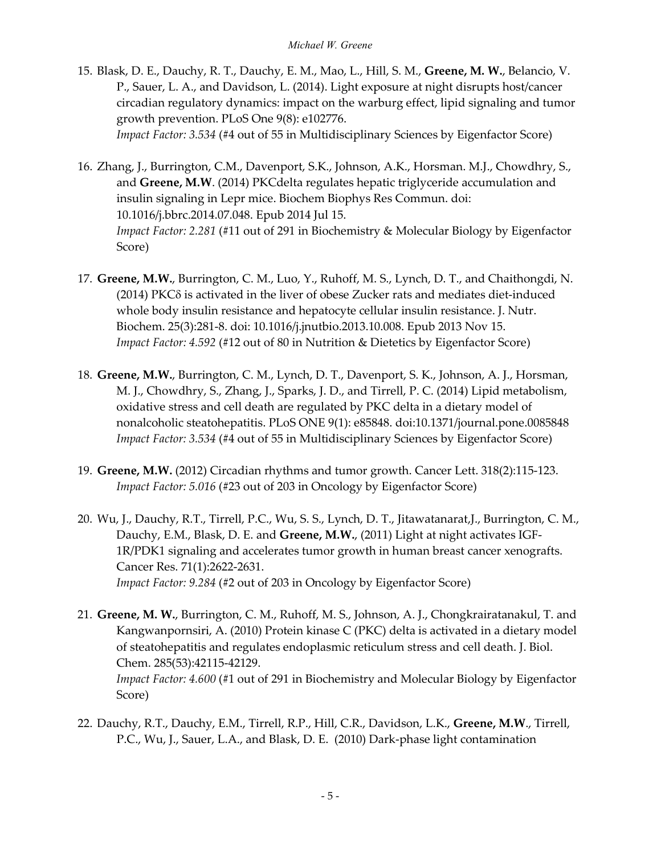- 15. Blask, D. E., Dauchy, R. T., Dauchy, E. M., Mao, L., Hill, S. M., **Greene, M. W.**, Belancio, V. P., Sauer, L. A., and Davidson, L. (2014). Light exposure at night disrupts host/cancer circadian regulatory dynamics: impact on the warburg effect, lipid signaling and tumor growth prevention. PLoS One 9(8): e102776. *Impact Factor: 3.534* (#4 out of 55 in Multidisciplinary Sciences by Eigenfactor Score)
- 16. Zhang, J., Burrington, C.M., Davenport, S.K., Johnson, A.K., Horsman. M.J., Chowdhry, S., and **Greene, M.W**. (2014) PKCdelta regulates hepatic triglyceride accumulation and insulin signaling in Lepr mice. Biochem Biophys Res Commun. doi: 10.1016/j.bbrc.2014.07.048. Epub 2014 Jul 15. *Impact Factor: 2.281* (#11 out of 291 in Biochemistry & Molecular Biology by Eigenfactor Score)
- 17. **Greene, M.W.**, Burrington, C. M., Luo, Y., Ruhoff, M. S., Lynch, D. T., and Chaithongdi, N. (2014) PKCδ is activated in the liver of obese Zucker rats and mediates diet-induced whole body insulin resistance and hepatocyte cellular insulin resistance. J. Nutr. Biochem. 25(3):281-8. doi: 10.1016/j.jnutbio.2013.10.008. Epub 2013 Nov 15. *Impact Factor: 4.592* (#12 out of 80 in Nutrition & Dietetics by Eigenfactor Score)
- 18. **Greene, M.W.**, Burrington, C. M., Lynch, D. T., Davenport, S. K., Johnson, A. J., Horsman, M. J., Chowdhry, S., Zhang, J., Sparks, J. D., and Tirrell, P. C. (2014) Lipid metabolism, oxidative stress and cell death are regulated by PKC delta in a dietary model of nonalcoholic steatohepatitis. PLoS ONE 9(1): e85848. doi:10.1371/journal.pone.0085848 *Impact Factor: 3.534* (#4 out of 55 in Multidisciplinary Sciences by Eigenfactor Score)
- 19. **Greene, M.W.** (2012) Circadian rhythms and tumor growth. Cancer Lett. 318(2):115-123. *Impact Factor: 5.016* (#23 out of 203 in Oncology by Eigenfactor Score)
- 20. Wu, J., Dauchy, R.T., Tirrell, P.C., Wu, S. S., Lynch, D. T., Jitawatanarat,J., Burrington, C. M., Dauchy, E.M., Blask, D. E. and **Greene, M.W.**, (2011) Light at night activates IGF-1R/PDK1 signaling and accelerates tumor growth in human breast cancer xenografts. Cancer Res. 71(1):2622-2631. *Impact Factor: 9.284* (#2 out of 203 in Oncology by Eigenfactor Score)
- 21. **Greene, M. W.**, Burrington, C. M., Ruhoff, M. S., Johnson, A. J., Chongkrairatanakul, T. and Kangwanpornsiri, A. (2010) Protein kinase C (PKC) delta is activated in a dietary model of steatohepatitis and regulates endoplasmic reticulum stress and cell death. J. Biol. Chem. 285(53):42115-42129. *Impact Factor: 4.600* (#1 out of 291 in Biochemistry and Molecular Biology by Eigenfactor Score)
- 22. Dauchy, R.T., Dauchy, E.M., Tirrell, R.P., Hill, C.R., Davidson, L.K., **Greene, M.W**., Tirrell, P.C., Wu, J., Sauer, L.A., and Blask, D. E. (2010) Dark-phase light contamination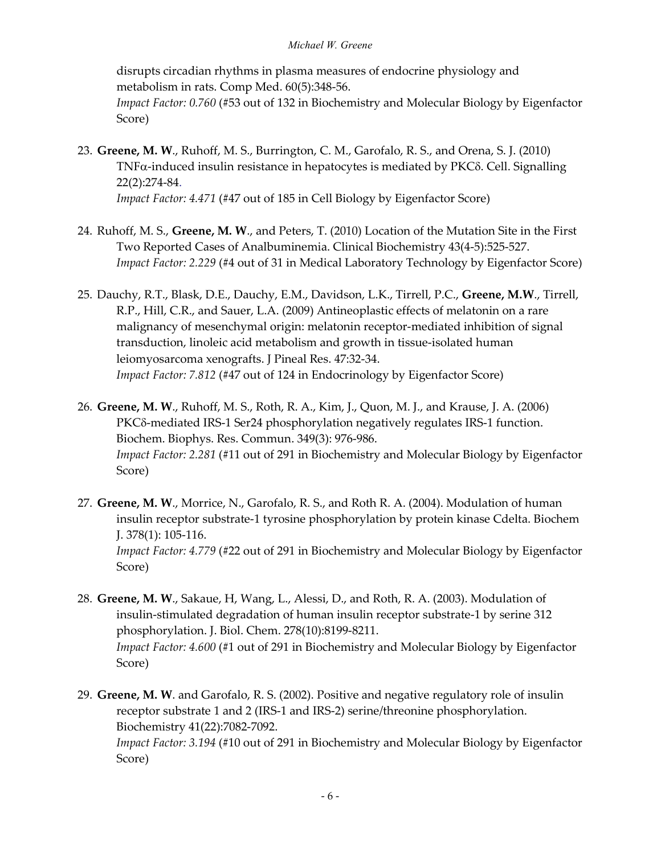disrupts circadian rhythms in plasma measures of endocrine physiology and metabolism in rats. Comp Med. 60(5):348-56. *Impact Factor: 0.760* (#53 out of 132 in Biochemistry and Molecular Biology by Eigenfactor

23. **Greene, M. W**., Ruhoff, M. S., Burrington, C. M., Garofalo, R. S., and Orena, S. J. (2010) TNFα-induced insulin resistance in hepatocytes is mediated by PKCδ. Cell. Signalling 22(2):274-84. *Impact Factor: 4.471* (#47 out of 185 in Cell Biology by Eigenfactor Score)

Score)

- 24. Ruhoff, M. S., **Greene, M. W**., and Peters, T. (2010) Location of the Mutation Site in the First Two Reported Cases of Analbuminemia. Clinical Biochemistry 43(4-5):525-527. *Impact Factor: 2.229* (#4 out of 31 in Medical Laboratory Technology by Eigenfactor Score)
- 25. Dauchy, R.T., Blask, D.E., Dauchy, E.M., Davidson, L.K., Tirrell, P.C., **Greene, M.W**., Tirrell, R.P., Hill, C.R., and Sauer, L.A. (2009) Antineoplastic effects of melatonin on a rare malignancy of mesenchymal origin: melatonin receptor-mediated inhibition of signal transduction, linoleic acid metabolism and growth in tissue-isolated human leiomyosarcoma xenografts. J Pineal Res. 47:32-34. *Impact Factor: 7.812* (#47 out of 124 in Endocrinology by Eigenfactor Score)
- 26. **Greene, M. W**., Ruhoff, M. S., Roth, R. A., Kim, J., Quon, M. J., and Krause, J. A. (2006) PKCδ-mediated IRS-1 Ser24 phosphorylation negatively regulates IRS-1 function. Biochem. Biophys. Res. Commun. 349(3): 976-986. *Impact Factor: 2.281* (#11 out of 291 in Biochemistry and Molecular Biology by Eigenfactor Score)
- 27. **Greene, M. W**., Morrice, N., Garofalo, R. S., and Roth R. A. (2004). Modulation of human insulin receptor substrate-1 tyrosine phosphorylation by protein kinase Cdelta. Biochem J. 378(1): 105-116. *Impact Factor: 4.779* (#22 out of 291 in Biochemistry and Molecular Biology by Eigenfactor Score)
- 28. **Greene, M. W**., Sakaue, H, Wang, L., Alessi, D., and Roth, R. A. (2003). Modulation of insulin-stimulated degradation of human insulin receptor substrate-1 by serine 312 phosphorylation. J. Biol. Chem. 278(10):8199-8211. *Impact Factor: 4.600* (#1 out of 291 in Biochemistry and Molecular Biology by Eigenfactor Score)
- 29. **Greene, M. W**. and Garofalo, R. S. (2002). Positive and negative regulatory role of insulin receptor substrate 1 and 2 (IRS-1 and IRS-2) serine/threonine phosphorylation. Biochemistry 41(22):7082-7092. *Impact Factor: 3.194* (#10 out of 291 in Biochemistry and Molecular Biology by Eigenfactor Score)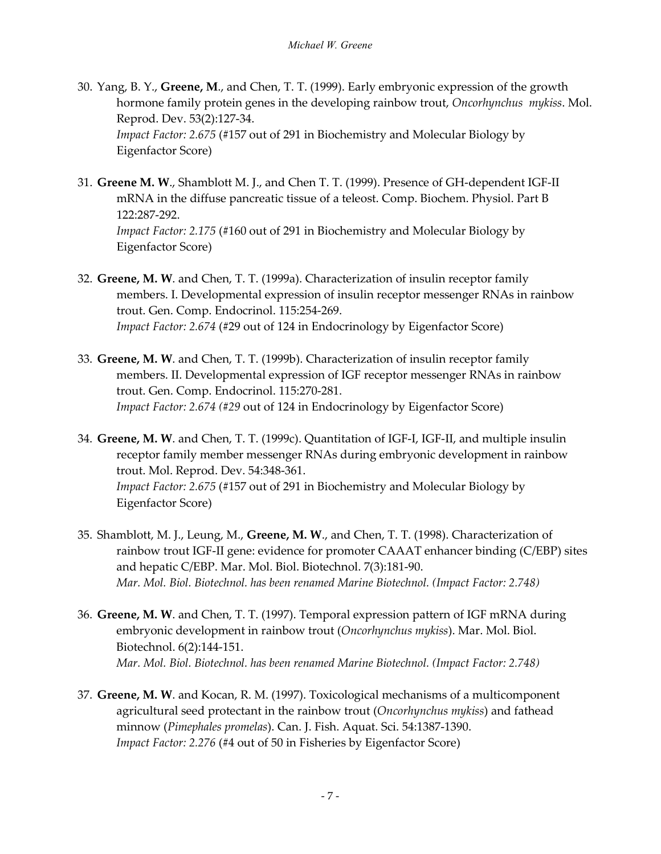- 30. Yang, B. Y., **Greene, M**., and Chen, T. T. (1999). Early embryonic expression of the growth hormone family protein genes in the developing rainbow trout, *Oncorhynchus mykiss*. Mol. Reprod. Dev. 53(2):127-34. *Impact Factor: 2.675* (#157 out of 291 in Biochemistry and Molecular Biology by Eigenfactor Score)
- 31. **Greene M. W**., Shamblott M. J., and Chen T. T. (1999). Presence of GH-dependent IGF-II mRNA in the diffuse pancreatic tissue of a teleost. Comp. Biochem. Physiol. Part B 122:287-292. *Impact Factor: 2.175* (#160 out of 291 in Biochemistry and Molecular Biology by Eigenfactor Score)
- 32. **Greene, M. W**. and Chen, T. T. (1999a). Characterization of insulin receptor family members. I. Developmental expression of insulin receptor messenger RNAs in rainbow trout. Gen. Comp. Endocrinol. 115:254-269. *Impact Factor: 2.674* (#29 out of 124 in Endocrinology by Eigenfactor Score)
- 33. **Greene, M. W**. and Chen, T. T. (1999b). Characterization of insulin receptor family members. II. Developmental expression of IGF receptor messenger RNAs in rainbow trout. Gen. Comp. Endocrinol. 115:270-281. *Impact Factor: 2.674 (#29* out of 124 in Endocrinology by Eigenfactor Score)
- 34. **Greene, M. W**. and Chen, T. T. (1999c). Quantitation of IGF-I, IGF-II, and multiple insulin receptor family member messenger RNAs during embryonic development in rainbow trout. Mol. Reprod. Dev. 54:348-361. *Impact Factor: 2.675* (#157 out of 291 in Biochemistry and Molecular Biology by Eigenfactor Score)
- 35. Shamblott, M. J., Leung, M., **Greene, M. W**., and Chen, T. T. (1998). Characterization of rainbow trout IGF-II gene: evidence for promoter CAAAT enhancer binding (C/EBP) sites and hepatic C/EBP. Mar. Mol. Biol. Biotechnol. 7(3):181-90. *Mar. Mol. Biol. Biotechnol. has been renamed Marine Biotechnol. (Impact Factor: 2.748)*
- 36. **Greene, M. W**. and Chen, T. T. (1997). Temporal expression pattern of IGF mRNA during embryonic development in rainbow trout (*Oncorhynchus mykiss*). Mar. Mol. Biol. Biotechnol. 6(2):144-151. *Mar. Mol. Biol. Biotechnol. has been renamed Marine Biotechnol. (Impact Factor: 2.748)*
- 37. **Greene, M. W**. and Kocan, R. M. (1997). Toxicological mechanisms of a multicomponent agricultural seed protectant in the rainbow trout (*Oncorhynchus mykiss*) and fathead minnow (*Pimephales promelas*). Can. J. Fish. Aquat. Sci. 54:1387-1390. *Impact Factor: 2.276* (#4 out of 50 in Fisheries by Eigenfactor Score)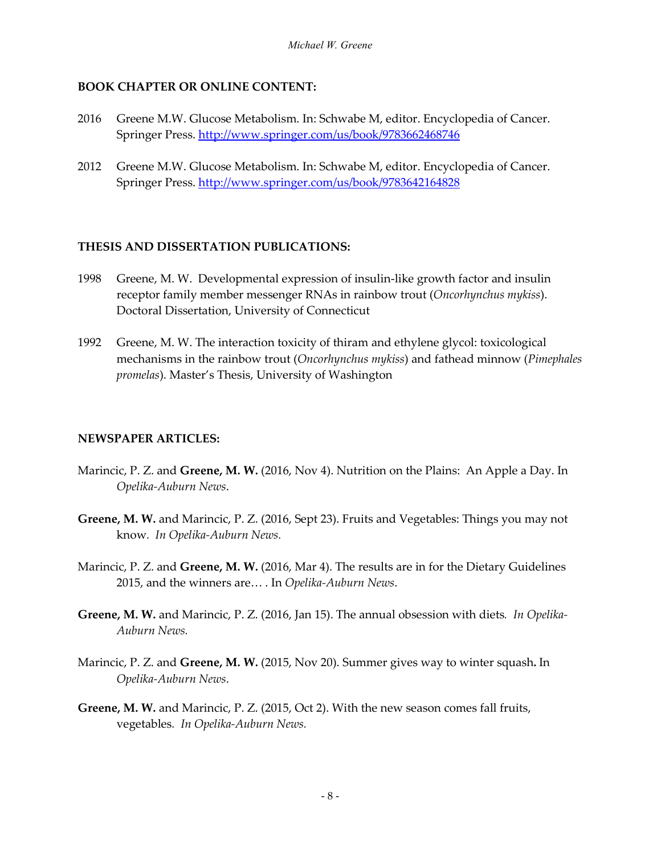## **BOOK CHAPTER OR ONLINE CONTENT:**

- 2016 Greene M.W. Glucose Metabolism. In: Schwabe M, editor. Encyclopedia of Cancer. Springer Press.<http://www.springer.com/us/book/9783662468746>
- 2012 Greene M.W. Glucose Metabolism. In: Schwabe M, editor. Encyclopedia of Cancer. Springer Press.<http://www.springer.com/us/book/9783642164828>

#### **THESIS AND DISSERTATION PUBLICATIONS:**

- 1998 Greene, M. W. Developmental expression of insulin-like growth factor and insulin receptor family member messenger RNAs in rainbow trout (*Oncorhynchus mykiss*). Doctoral Dissertation, University of Connecticut
- 1992 Greene, M. W. The interaction toxicity of thiram and ethylene glycol: toxicological mechanisms in the rainbow trout (*Oncorhynchus mykiss*) and fathead minnow (*Pimephales promelas*). Master's Thesis, University of Washington

#### **NEWSPAPER ARTICLES:**

- Marincic, P. Z. and **Greene, M. W.** (2016, Nov 4). Nutrition on the Plains: An Apple a Day. In *Opelika-Auburn News*.
- **Greene, M. W.** and Marincic, P. Z. (2016, Sept 23). Fruits and Vegetables: Things you may not know*. In Opelika-Auburn News.*
- Marincic, P. Z. and **Greene, M. W.** (2016, Mar 4). The results are in for the Dietary Guidelines 2015, and the winners are… . In *Opelika-Auburn News*.
- **Greene, M. W.** and Marincic, P. Z. (2016, Jan 15). The annual obsession with diets*. In Opelika-Auburn News.*
- Marincic, P. Z. and **Greene, M. W.** (2015, Nov 20). Summer gives way to winter squash**.** In *Opelika-Auburn News*.
- **Greene, M. W.** and Marincic, P. Z. (2015, Oct 2). With the new season comes fall fruits, vegetables*. In Opelika-Auburn News.*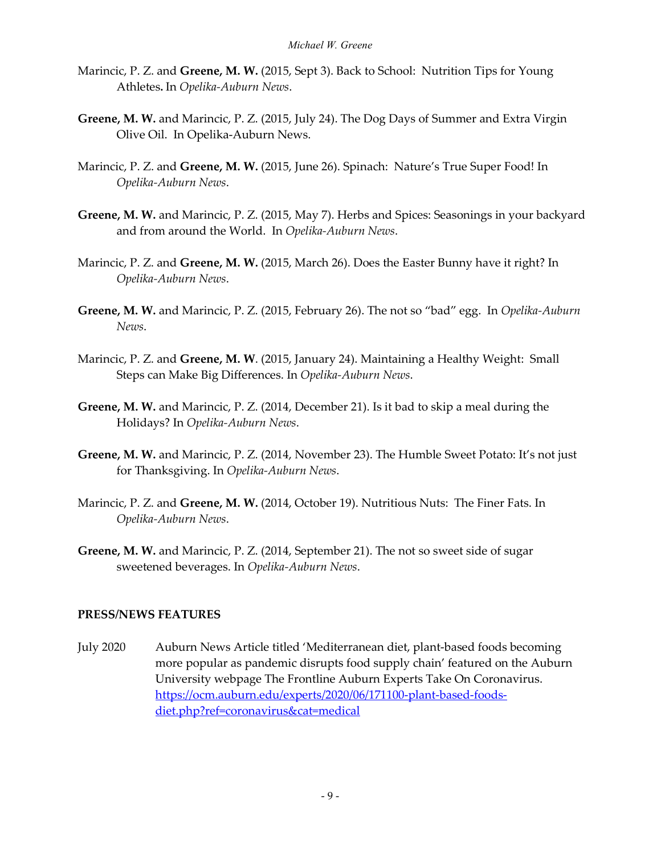- Marincic, P. Z. and **Greene, M. W.** (2015, Sept 3). Back to School: Nutrition Tips for Young Athletes**.** In *Opelika-Auburn News*.
- **Greene, M. W.** and Marincic, P. Z. (2015, July 24). The Dog Days of Summer and Extra Virgin Olive Oil. In Opelika-Auburn News.
- Marincic, P. Z. and **Greene, M. W.** (2015, June 26). Spinach: Nature's True Super Food! In *Opelika-Auburn News*.
- **Greene, M. W.** and Marincic, P. Z. (2015, May 7). Herbs and Spices: Seasonings in your backyard and from around the World. In *Opelika-Auburn News*.
- Marincic, P. Z. and **Greene, M. W.** (2015, March 26). Does the Easter Bunny have it right? In *Opelika-Auburn News*.
- **Greene, M. W.** and Marincic, P. Z. (2015, February 26). The not so "bad" egg. In *Opelika-Auburn News*.
- Marincic, P. Z. and **Greene, M. W**. (2015, January 24). Maintaining a Healthy Weight: Small Steps can Make Big Differences. In *Opelika-Auburn News*.
- **Greene, M. W.** and Marincic, P. Z. (2014, December 21). Is it bad to skip a meal during the Holidays? In *Opelika-Auburn News*.
- **Greene, M. W.** and Marincic, P. Z. (2014, November 23). The Humble Sweet Potato: It's not just for Thanksgiving. In *Opelika-Auburn News*.
- Marincic, P. Z. and **Greene, M. W.** (2014, October 19). Nutritious Nuts: The Finer Fats. In *Opelika-Auburn News*.
- **Greene, M. W.** and Marincic, P. Z. (2014, September 21). The not so sweet side of sugar sweetened beverages. In *Opelika-Auburn News*.

#### **PRESS/NEWS FEATURES**

July 2020 Auburn News Article titled 'Mediterranean diet, plant-based foods becoming more popular as pandemic disrupts food supply chain' featured on the Auburn University webpage The Frontline Auburn Experts Take On Coronavirus. [https://ocm.auburn.edu/experts/2020/06/171100-plant-based-foods](https://ocm.auburn.edu/experts/2020/06/171100-plant-based-foods-diet.php?ref=coronavirus&cat=medical)[diet.php?ref=coronavirus&cat=medical](https://ocm.auburn.edu/experts/2020/06/171100-plant-based-foods-diet.php?ref=coronavirus&cat=medical)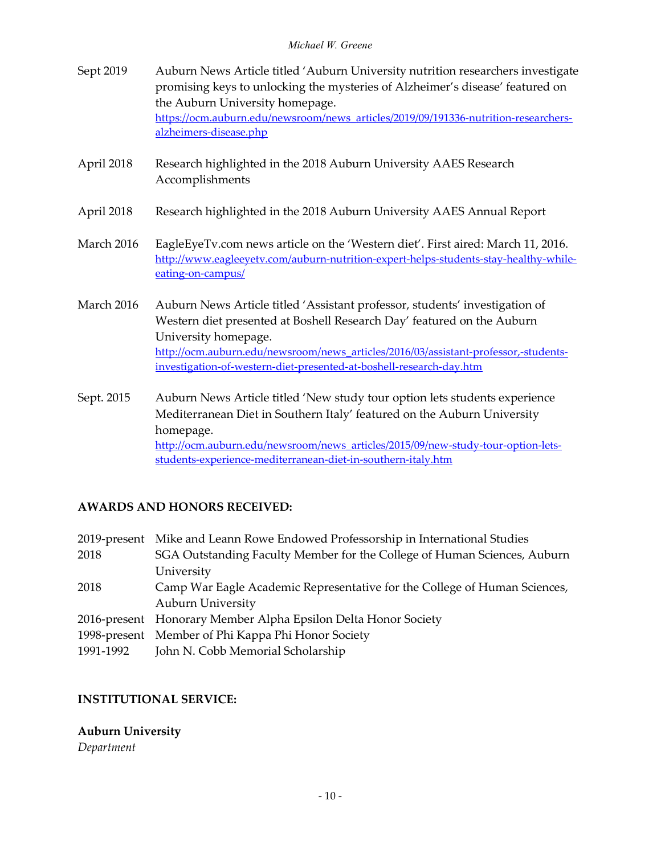- Sept 2019 Auburn News Article titled 'Auburn University nutrition researchers investigate promising keys to unlocking the mysteries of Alzheimer's disease' featured on the Auburn University homepage. [https://ocm.auburn.edu/newsroom/news\\_articles/2019/09/191336-nutrition-researchers](https://ocm.auburn.edu/newsroom/news_articles/2019/09/191336-nutrition-researchers-alzheimers-disease.php)[alzheimers-disease.php](https://ocm.auburn.edu/newsroom/news_articles/2019/09/191336-nutrition-researchers-alzheimers-disease.php)
- April 2018 Research highlighted in the 2018 Auburn University AAES Research Accomplishments
- April 2018 Research highlighted in the 2018 Auburn University AAES Annual Report
- March 2016 EagleEyeTv.com news article on the 'Western diet'. First aired: March 11, 2016. [http://www.eagleeyetv.com/auburn-nutrition-expert-helps-students-stay-healthy-while](http://www.eagleeyetv.com/auburn-nutrition-expert-helps-students-stay-healthy-while-eating-on-campus/)[eating-on-campus/](http://www.eagleeyetv.com/auburn-nutrition-expert-helps-students-stay-healthy-while-eating-on-campus/)
- March 2016 Auburn News Article titled 'Assistant professor, students' investigation of Western diet presented at Boshell Research Day' featured on the Auburn University homepage. [http://ocm.auburn.edu/newsroom/news\\_articles/2016/03/assistant-professor,-students](http://ocm.auburn.edu/newsroom/news_articles/2016/03/assistant-professor,-students-investigation-of-western-diet-presented-at-boshell-research-day.htm)[investigation-of-western-diet-presented-at-boshell-research-day.htm](http://ocm.auburn.edu/newsroom/news_articles/2016/03/assistant-professor,-students-investigation-of-western-diet-presented-at-boshell-research-day.htm)
- Sept. 2015 Auburn News Article titled 'New study tour option lets students experience Mediterranean Diet in Southern Italy' featured on the Auburn University homepage. [http://ocm.auburn.edu/newsroom/news\\_articles/2015/09/new-study-tour-option-lets](http://ocm.auburn.edu/newsroom/news_articles/2015/09/new-study-tour-option-lets-students-experience-mediterranean-diet-in-southern-italy.htm)[students-experience-mediterranean-diet-in-southern-italy.htm](http://ocm.auburn.edu/newsroom/news_articles/2015/09/new-study-tour-option-lets-students-experience-mediterranean-diet-in-southern-italy.htm)

# **AWARDS AND HONORS RECEIVED:**

2019-present Mike and Leann Rowe Endowed Professorship in International Studies 2018 SGA Outstanding Faculty Member for the College of Human Sciences, Auburn University 2018 Camp War Eagle Academic Representative for the College of Human Sciences, Auburn University 2016-present Honorary Member Alpha Epsilon Delta Honor Society 1998-present Member of Phi Kappa Phi Honor Society 1991-1992 John N. Cobb Memorial Scholarship

## **INSTITUTIONAL SERVICE:**

# **Auburn University**

*Department*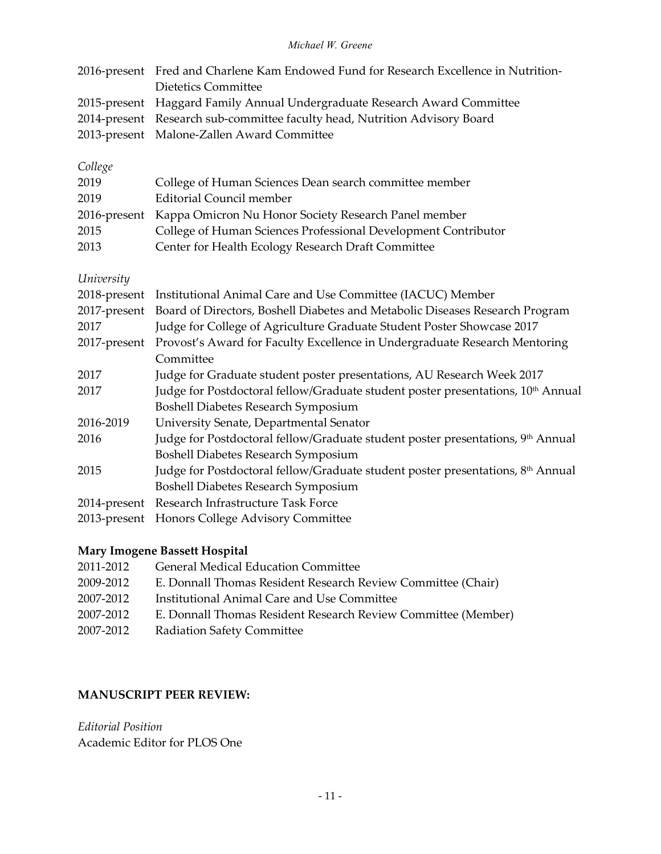| 2016-present Fred and Charlene Kam Endowed Fund for Research Excellence in Nutrition- |
|---------------------------------------------------------------------------------------|
| Dietetics Committee                                                                   |
| 2015-present Haggard Family Annual Undergraduate Research Award Committee             |
| 2014-present Research sub-committee faculty head, Nutrition Advisory Board            |
| 2013-present Malone-Zallen Award Committee                                            |
|                                                                                       |

# *College*

| 2019 | College of Human Sciences Dean search committee member            |
|------|-------------------------------------------------------------------|
| 2019 | Editorial Council member                                          |
|      | 2016-present Kappa Omicron Nu Honor Society Research Panel member |
| 2015 | College of Human Sciences Professional Development Contributor    |
| 2013 | Center for Health Ecology Research Draft Committee                |

*University*

| 2018-present | Institutional Animal Care and Use Committee (IACUC) Member                                   |
|--------------|----------------------------------------------------------------------------------------------|
| 2017-present | Board of Directors, Boshell Diabetes and Metabolic Diseases Research Program                 |
| 2017         | Judge for College of Agriculture Graduate Student Poster Showcase 2017                       |
| 2017-present | Provost's Award for Faculty Excellence in Undergraduate Research Mentoring                   |
|              | Committee                                                                                    |
| 2017         | Judge for Graduate student poster presentations, AU Research Week 2017                       |
| 2017         | Judge for Postdoctoral fellow/Graduate student poster presentations, 10 <sup>th</sup> Annual |
|              | <b>Boshell Diabetes Research Symposium</b>                                                   |
| 2016-2019    | University Senate, Departmental Senator                                                      |
| 2016         | Judge for Postdoctoral fellow/Graduate student poster presentations, 9 <sup>th</sup> Annual  |
|              | <b>Boshell Diabetes Research Symposium</b>                                                   |
| 2015         | Judge for Postdoctoral fellow/Graduate student poster presentations, 8 <sup>th</sup> Annual  |
|              | <b>Boshell Diabetes Research Symposium</b>                                                   |
| 2014-present | Research Infrastructure Task Force                                                           |
|              | 2013-present Honors College Advisory Committee                                               |

## **Mary Imogene Bassett Hospital**

| 2011-2012 | <b>General Medical Education Committee</b>                    |
|-----------|---------------------------------------------------------------|
| 2009-2012 | E. Donnall Thomas Resident Research Review Committee (Chair)  |
| 2007-2012 | Institutional Animal Care and Use Committee                   |
| 2007-2012 | E. Donnall Thomas Resident Research Review Committee (Member) |
| 2007-2012 | <b>Radiation Safety Committee</b>                             |

## **MANUSCRIPT PEER REVIEW:**

*Editorial Position* Academic Editor for PLOS One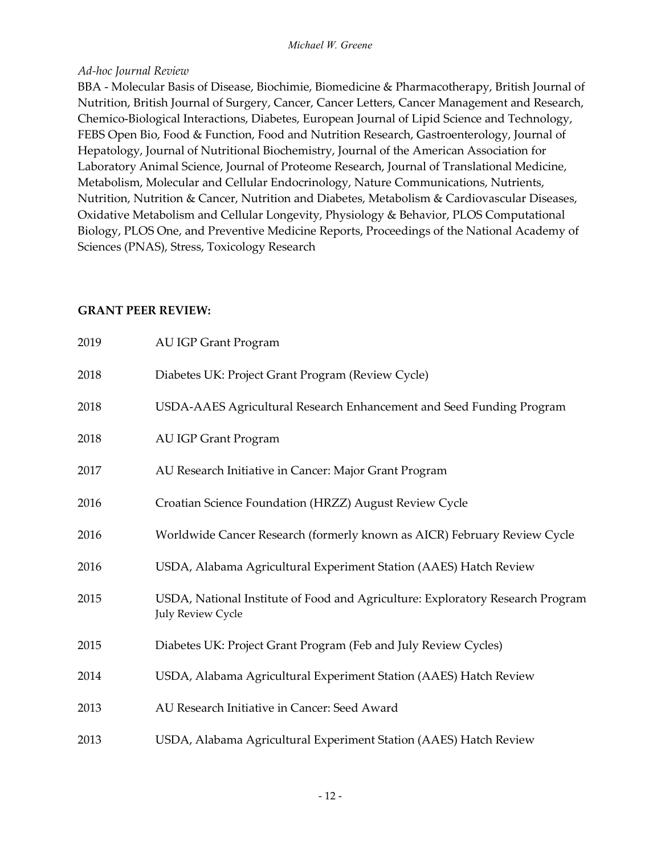#### *Ad-hoc Journal Review*

BBA - Molecular Basis of Disease, Biochimie, Biomedicine & Pharmacotherapy, British Journal of Nutrition, British Journal of Surgery, Cancer, Cancer Letters, Cancer Management and Research, Chemico-Biological Interactions, Diabetes, European Journal of Lipid Science and Technology, FEBS Open Bio, Food & Function, Food and Nutrition Research, Gastroenterology, Journal of Hepatology, Journal of Nutritional Biochemistry, Journal of the American Association for Laboratory Animal Science, Journal of Proteome Research, Journal of Translational Medicine, Metabolism, Molecular and Cellular Endocrinology, Nature Communications, Nutrients, Nutrition, Nutrition & Cancer, Nutrition and Diabetes, Metabolism & Cardiovascular Diseases, Oxidative Metabolism and Cellular Longevity, Physiology & Behavior, PLOS Computational Biology, PLOS One, and Preventive Medicine Reports, Proceedings of the National Academy of Sciences (PNAS), Stress, Toxicology Research

#### **GRANT PEER REVIEW:**

| 2019 | <b>AU IGP Grant Program</b>                                                                                |
|------|------------------------------------------------------------------------------------------------------------|
| 2018 | Diabetes UK: Project Grant Program (Review Cycle)                                                          |
| 2018 | USDA-AAES Agricultural Research Enhancement and Seed Funding Program                                       |
| 2018 | <b>AU IGP Grant Program</b>                                                                                |
| 2017 | AU Research Initiative in Cancer: Major Grant Program                                                      |
| 2016 | Croatian Science Foundation (HRZZ) August Review Cycle                                                     |
| 2016 | Worldwide Cancer Research (formerly known as AICR) February Review Cycle                                   |
| 2016 | USDA, Alabama Agricultural Experiment Station (AAES) Hatch Review                                          |
| 2015 | USDA, National Institute of Food and Agriculture: Exploratory Research Program<br><b>July Review Cycle</b> |
| 2015 | Diabetes UK: Project Grant Program (Feb and July Review Cycles)                                            |
| 2014 | USDA, Alabama Agricultural Experiment Station (AAES) Hatch Review                                          |
| 2013 | AU Research Initiative in Cancer: Seed Award                                                               |
| 2013 | USDA, Alabama Agricultural Experiment Station (AAES) Hatch Review                                          |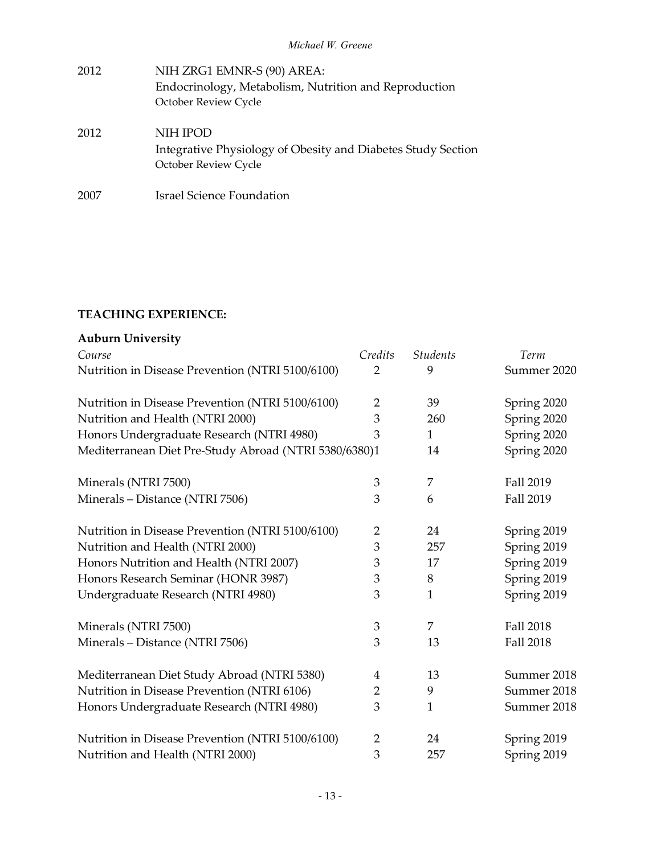| 2012 | NIH ZRG1 EMNR-S (90) AREA:<br>Endocrinology, Metabolism, Nutrition and Reproduction<br>October Review Cycle |
|------|-------------------------------------------------------------------------------------------------------------|
| 2012 | NIH IPOD<br>Integrative Physiology of Obesity and Diabetes Study Section<br>October Review Cycle            |
| 2007 | Israel Science Foundation                                                                                   |

## **TEACHING EXPERIENCE:**

| <b>Auburn University</b>                              |                |                 |                  |
|-------------------------------------------------------|----------------|-----------------|------------------|
| Course                                                | Credits        | <b>Students</b> | Term             |
| Nutrition in Disease Prevention (NTRI 5100/6100)      | $\overline{2}$ | 9               | Summer 2020      |
| Nutrition in Disease Prevention (NTRI 5100/6100)      | $\overline{2}$ | 39              | Spring 2020      |
| Nutrition and Health (NTRI 2000)                      | 3              | 260             | Spring 2020      |
| Honors Undergraduate Research (NTRI 4980)             | 3              | $\mathbf{1}$    | Spring 2020      |
| Mediterranean Diet Pre-Study Abroad (NTRI 5380/6380)1 |                | 14              | Spring 2020      |
| Minerals (NTRI 7500)                                  | 3              | 7               | Fall 2019        |
| Minerals - Distance (NTRI 7506)                       | 3              | 6               | Fall 2019        |
| Nutrition in Disease Prevention (NTRI 5100/6100)      | $\overline{2}$ | 24              | Spring 2019      |
| Nutrition and Health (NTRI 2000)                      | 3              | 257             | Spring 2019      |
| Honors Nutrition and Health (NTRI 2007)               | 3              | 17              | Spring 2019      |
| Honors Research Seminar (HONR 3987)                   | 3              | 8               | Spring 2019      |
| Undergraduate Research (NTRI 4980)                    | 3              | 1               | Spring 2019      |
| Minerals (NTRI 7500)                                  | $\mathfrak{Z}$ | 7               | <b>Fall 2018</b> |
| Minerals - Distance (NTRI 7506)                       | 3              | 13              | <b>Fall 2018</b> |
| Mediterranean Diet Study Abroad (NTRI 5380)           | 4              | 13              | Summer 2018      |
| Nutrition in Disease Prevention (NTRI 6106)           | 2              | 9               | Summer 2018      |
| Honors Undergraduate Research (NTRI 4980)             | 3              | $\mathbf{1}$    | Summer 2018      |
| Nutrition in Disease Prevention (NTRI 5100/6100)      | $\overline{2}$ | 24              | Spring 2019      |
| Nutrition and Health (NTRI 2000)                      | 3              | 257             | Spring 2019      |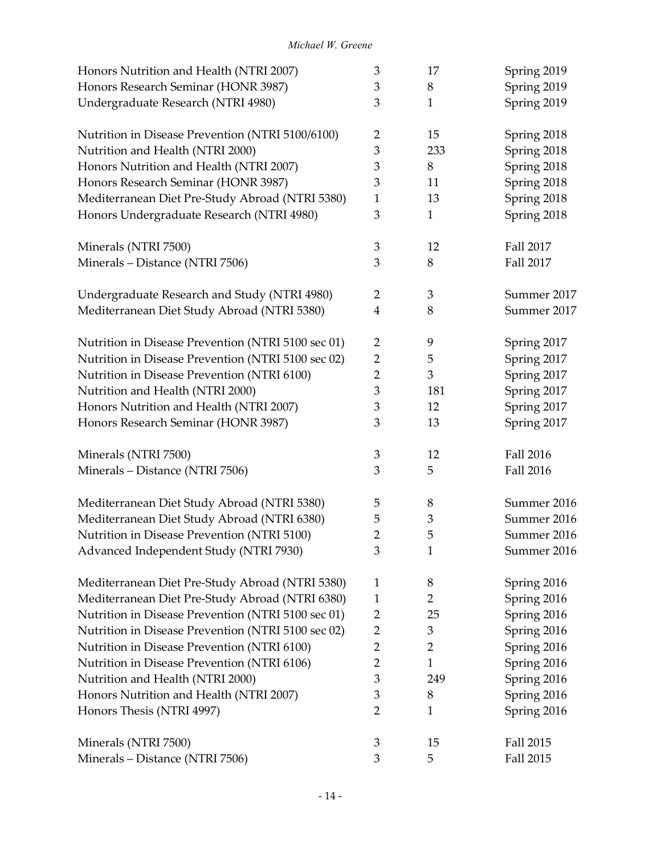| Honors Nutrition and Health (NTRI 2007)            | 3              | 17             | Spring 2019 |
|----------------------------------------------------|----------------|----------------|-------------|
| Honors Research Seminar (HONR 3987)                | 3              | 8              | Spring 2019 |
| Undergraduate Research (NTRI 4980)                 |                | $\mathbf{1}$   | Spring 2019 |
| Nutrition in Disease Prevention (NTRI 5100/6100)   | $\overline{2}$ | 15             | Spring 2018 |
| Nutrition and Health (NTRI 2000)                   | 3              | 233            | Spring 2018 |
| Honors Nutrition and Health (NTRI 2007)            | 3              | 8              | Spring 2018 |
| Honors Research Seminar (HONR 3987)                | 3              | 11             | Spring 2018 |
| Mediterranean Diet Pre-Study Abroad (NTRI 5380)    | $\mathbf{1}$   | 13             | Spring 2018 |
| Honors Undergraduate Research (NTRI 4980)          | 3              | $\mathbf{1}$   | Spring 2018 |
| Minerals (NTRI 7500)                               | 3              | 12             | Fall 2017   |
| Minerals - Distance (NTRI 7506)                    | 3              | 8              | Fall 2017   |
| Undergraduate Research and Study (NTRI 4980)       | $\overline{2}$ | 3              | Summer 2017 |
| Mediterranean Diet Study Abroad (NTRI 5380)        | $\overline{4}$ | 8              | Summer 2017 |
| Nutrition in Disease Prevention (NTRI 5100 sec 01) | $\overline{2}$ | 9              | Spring 2017 |
| Nutrition in Disease Prevention (NTRI 5100 sec 02) | $\overline{2}$ | 5              | Spring 2017 |
| Nutrition in Disease Prevention (NTRI 6100)        | $\overline{2}$ | $\mathfrak{Z}$ | Spring 2017 |
| Nutrition and Health (NTRI 2000)                   | 3              | 181            | Spring 2017 |
| Honors Nutrition and Health (NTRI 2007)            | 3              | 12             | Spring 2017 |
| Honors Research Seminar (HONR 3987)                | 3              | 13             | Spring 2017 |
| Minerals (NTRI 7500)                               | 3              | 12             | Fall 2016   |
| Minerals - Distance (NTRI 7506)                    | 3              | 5              | Fall 2016   |
| Mediterranean Diet Study Abroad (NTRI 5380)        | 5              | 8              | Summer 2016 |
| Mediterranean Diet Study Abroad (NTRI 6380)        | 5              | 3              | Summer 2016 |
| Nutrition in Disease Prevention (NTRI 5100)        | $\overline{2}$ | 5              | Summer 2016 |
| Advanced Independent Study (NTRI 7930)             | 3              | 1              | Summer 2016 |
| Mediterranean Diet Pre-Study Abroad (NTRI 5380)    | $\mathbf{1}$   | 8              | Spring 2016 |
| Mediterranean Diet Pre-Study Abroad (NTRI 6380)    | $\mathbf{1}$   | 2              | Spring 2016 |
| Nutrition in Disease Prevention (NTRI 5100 sec 01) | $\overline{2}$ | 25             | Spring 2016 |
| Nutrition in Disease Prevention (NTRI 5100 sec 02) | $\overline{2}$ | 3              | Spring 2016 |
| Nutrition in Disease Prevention (NTRI 6100)        | $\overline{2}$ | $\overline{2}$ | Spring 2016 |
| Nutrition in Disease Prevention (NTRI 6106)        | $\overline{2}$ | $\mathbf{1}$   | Spring 2016 |
| Nutrition and Health (NTRI 2000)                   | 3              | 249            | Spring 2016 |
| Honors Nutrition and Health (NTRI 2007)            | 3              | $8\phantom{1}$ | Spring 2016 |
| Honors Thesis (NTRI 4997)                          | $\overline{2}$ | $\mathbf{1}$   | Spring 2016 |
| Minerals (NTRI 7500)                               | 3              | 15             | Fall 2015   |
| Minerals - Distance (NTRI 7506)                    | 3              | 5              | Fall 2015   |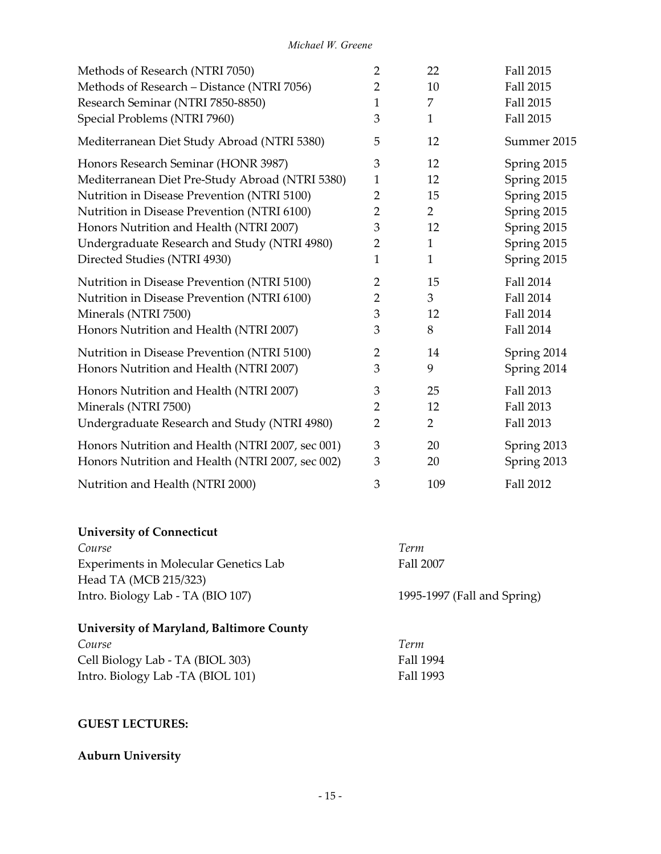| Methods of Research (NTRI 7050)                  | $\overline{2}$ | 22             | Fall 2015        |
|--------------------------------------------------|----------------|----------------|------------------|
| Methods of Research - Distance (NTRI 7056)       | 2              | 10             | Fall 2015        |
| Research Seminar (NTRI 7850-8850)                | 1              | 7              | Fall 2015        |
| Special Problems (NTRI 7960)                     | 3              | $\mathbf{1}$   | Fall 2015        |
| Mediterranean Diet Study Abroad (NTRI 5380)      | 5              | 12             | Summer 2015      |
| Honors Research Seminar (HONR 3987)              | 3              | 12             | Spring 2015      |
| Mediterranean Diet Pre-Study Abroad (NTRI 5380)  | $\mathbf{1}$   | 12             | Spring 2015      |
| Nutrition in Disease Prevention (NTRI 5100)      | 2              | 15             | Spring 2015      |
| Nutrition in Disease Prevention (NTRI 6100)      | $\overline{2}$ | $\overline{2}$ | Spring 2015      |
| Honors Nutrition and Health (NTRI 2007)          | 3              | 12             | Spring 2015      |
| Undergraduate Research and Study (NTRI 4980)     | $\overline{2}$ | $\mathbf{1}$   | Spring 2015      |
| Directed Studies (NTRI 4930)                     | 1              | $\mathbf{1}$   | Spring 2015      |
| Nutrition in Disease Prevention (NTRI 5100)      | $\overline{2}$ | 15             | Fall 2014        |
| Nutrition in Disease Prevention (NTRI 6100)      | $\overline{2}$ | 3              | Fall 2014        |
| Minerals (NTRI 7500)                             | 3              | 12             | Fall 2014        |
| Honors Nutrition and Health (NTRI 2007)          | 3              | 8              | Fall 2014        |
| Nutrition in Disease Prevention (NTRI 5100)      | $\overline{2}$ | 14             | Spring 2014      |
| Honors Nutrition and Health (NTRI 2007)          | 3              | 9              | Spring 2014      |
| Honors Nutrition and Health (NTRI 2007)          | 3              | 25             | Fall 2013        |
| Minerals (NTRI 7500)                             | $\overline{2}$ | 12             | Fall 2013        |
| Undergraduate Research and Study (NTRI 4980)     | $\overline{2}$ | $\overline{2}$ | Fall 2013        |
| Honors Nutrition and Health (NTRI 2007, sec 001) | 3              | 20             | Spring 2013      |
| Honors Nutrition and Health (NTRI 2007, sec 002) | 3              | 20             | Spring 2013      |
| Nutrition and Health (NTRI 2000)                 | 3              | 109            | <b>Fall 2012</b> |

## **University of Connecticut**

| Course                                | Term                        |
|---------------------------------------|-----------------------------|
| Experiments in Molecular Genetics Lab | Fall 2007                   |
| Head TA (MCB 215/323)                 |                             |
| Intro. Biology Lab - TA (BIO 107)     | 1995-1997 (Fall and Spring) |
|                                       |                             |

# **University of Maryland, Baltimore County**

| Course                            | Term      |
|-----------------------------------|-----------|
| Cell Biology Lab - TA (BIOL 303)  | Fall 1994 |
| Intro. Biology Lab -TA (BIOL 101) | Fall 1993 |

## **GUEST LECTURES:**

# **Auburn University**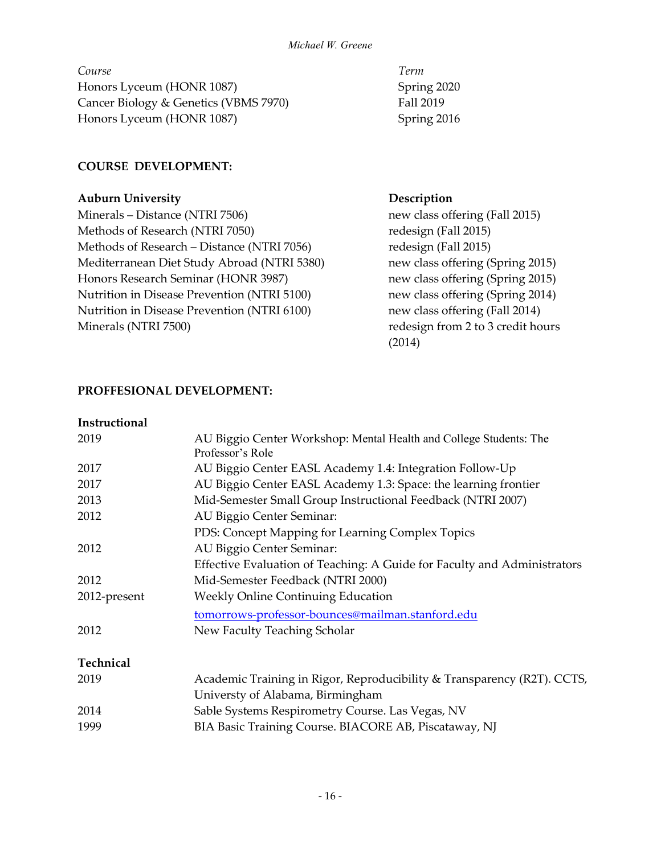*Course Term* Honors Lyceum (HONR 1087) Spring 2020 Cancer Biology & Genetics (VBMS 7970) Fall 2019 Honors Lyceum (HONR 1087) Spring 2016

## **COURSE DEVELOPMENT:**

#### **Auburn University Description**

Minerals – Distance (NTRI 7506) new class offering (Fall 2015) Methods of Research (NTRI 7050) redesign (Fall 2015) Methods of Research – Distance (NTRI 7056) redesign (Fall 2015) Mediterranean Diet Study Abroad (NTRI 5380) new class offering (Spring 2015) Honors Research Seminar (HONR 3987) new class offering (Spring 2015) Nutrition in Disease Prevention (NTRI 5100) new class offering (Spring 2014) Nutrition in Disease Prevention (NTRI 6100) new class offering (Fall 2014) Minerals (NTRI 7500) The method of the set of the redesign from 2 to 3 credit hours

(2014)

## **PROFFESIONAL DEVELOPMENT:**

# **Instructional** 2019 AU Biggio Center Workshop: Mental Health and College Students: The Professor's Role 2017 AU Biggio Center EASL Academy 1.4: Integration Follow-Up 2017 AU Biggio Center EASL Academy 1.3: Space: the learning frontier 2013 Mid-Semester Small Group Instructional Feedback (NTRI 2007) 2012 AU Biggio Center Seminar: PDS: Concept Mapping for Learning Complex Topics 2012 AU Biggio Center Seminar: Effective Evaluation of Teaching: A Guide for Faculty and Administrators 2012 Mid-Semester Feedback (NTRI 2000) 2012-present Weekly Online Continuing Education [tomorrows-professor-bounces@mailman.stanford.edu](mailto:tomorrows-professor-bounces@mailman.stanford.edu) 2012 New Faculty Teaching Scholar **Technical** 2019 Academic Training in Rigor, Reproducibility & Transparency (R2T). CCTS, Universty of Alabama, Birmingham 2014 Sable Systems Respirometry Course. Las Vegas, NV 1999 BIA Basic Training Course. BIACORE AB, Piscataway, NJ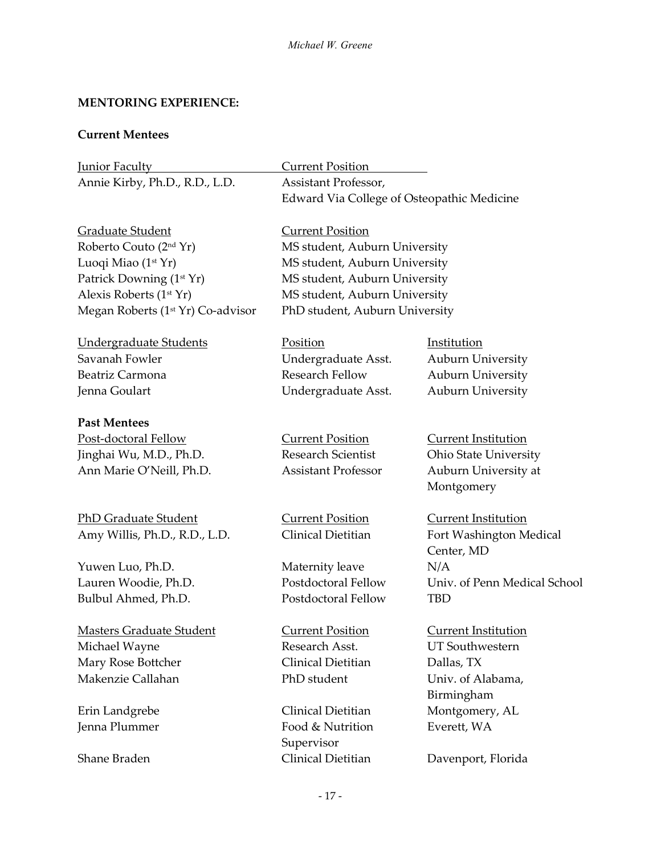## **MENTORING EXPERIENCE:**

## **Current Mentees**

| <b>Junior Faculty</b>                                  | <b>Current Position</b>                    |                              |  |
|--------------------------------------------------------|--------------------------------------------|------------------------------|--|
| Annie Kirby, Ph.D., R.D., L.D.<br>Assistant Professor, |                                            |                              |  |
|                                                        | Edward Via College of Osteopathic Medicine |                              |  |
| Graduate Student                                       | <b>Current Position</b>                    |                              |  |
| Roberto Couto (2 <sup>nd</sup> Yr)                     | MS student, Auburn University              |                              |  |
| Luoqi Miao (1st Yr)                                    | MS student, Auburn University              |                              |  |
| Patrick Downing (1st Yr)                               | MS student, Auburn University              |                              |  |
| Alexis Roberts (1 <sup>st</sup> Yr)                    | MS student, Auburn University              |                              |  |
| Megan Roberts (1 <sup>st</sup> Yr) Co-advisor          | PhD student, Auburn University             |                              |  |
| <b>Undergraduate Students</b>                          | Position                                   | Institution                  |  |
| Savanah Fowler                                         | Undergraduate Asst.                        | <b>Auburn University</b>     |  |
| Beatriz Carmona                                        | <b>Research Fellow</b>                     | Auburn University            |  |
| Jenna Goulart                                          | Undergraduate Asst.                        | <b>Auburn University</b>     |  |
| <b>Past Mentees</b>                                    |                                            |                              |  |
| Post-doctoral Fellow                                   | <b>Current Position</b>                    | <b>Current Institution</b>   |  |
| Jinghai Wu, M.D., Ph.D.                                | <b>Research Scientist</b>                  | <b>Ohio State University</b> |  |
| Ann Marie O'Neill, Ph.D.                               | <b>Assistant Professor</b>                 | Auburn University at         |  |
|                                                        |                                            | Montgomery                   |  |
| <b>PhD Graduate Student</b>                            | <b>Current Position</b>                    | <b>Current Institution</b>   |  |
| Amy Willis, Ph.D., R.D., L.D.                          | Clinical Dietitian                         | Fort Washington Medical      |  |
|                                                        |                                            | Center, MD                   |  |
| Yuwen Luo, Ph.D.                                       | Maternity leave                            | N/A                          |  |
| Lauren Woodie, Ph.D.                                   | Postdoctoral Fellow                        | Univ. of Penn Medical School |  |
| Bulbul Ahmed, Ph.D.                                    | Postdoctoral Fellow                        | <b>TBD</b>                   |  |
| <b>Masters Graduate Student</b>                        | <b>Current Position</b>                    | <b>Current Institution</b>   |  |
| Michael Wayne                                          | Research Asst.                             | <b>UT Southwestern</b>       |  |
| Mary Rose Bottcher                                     | Clinical Dietitian                         | Dallas, TX                   |  |
| Makenzie Callahan                                      | PhD student                                | Univ. of Alabama,            |  |
|                                                        |                                            | Birmingham                   |  |
| Erin Landgrebe                                         | Clinical Dietitian                         | Montgomery, AL               |  |
| Jenna Plummer                                          | Food & Nutrition                           | Everett, WA                  |  |
|                                                        | Supervisor                                 |                              |  |
| Shane Braden                                           | Clinical Dietitian                         | Davenport, Florida           |  |
|                                                        | $-17-$                                     |                              |  |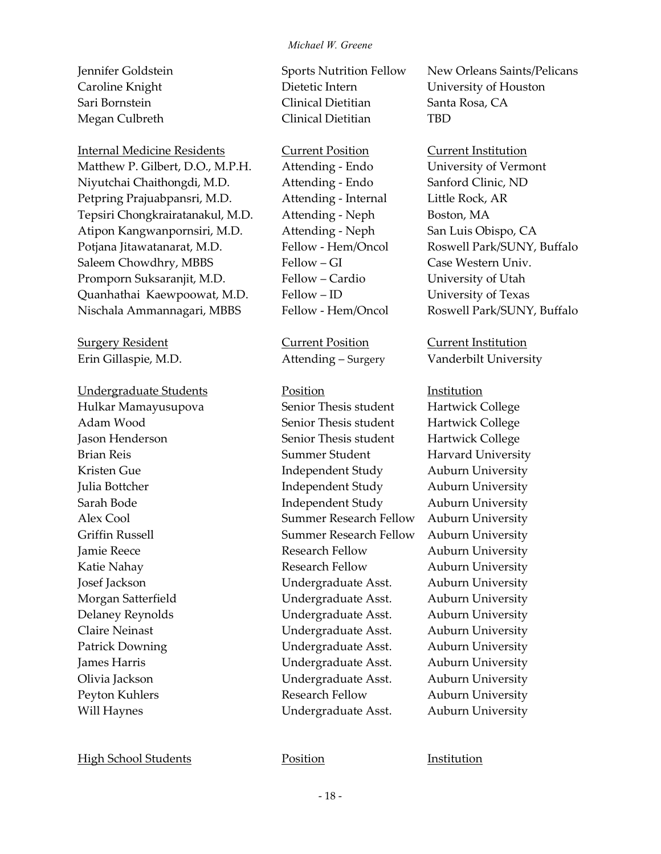Internal Medicine Residents Current Position Current Institution Matthew P. Gilbert, D.O., M.P.H. Attending - Endo University of Vermont Niyutchai Chaithongdi, M.D. Attending - Endo Sanford Clinic, ND Petpring Prajuabpansri, M.D. Attending - Internal Little Rock, AR Tepsiri Chongkrairatanakul, M.D. Attending - Neph Boston, MA Atipon Kangwanpornsiri, M.D. Attending - Neph San Luis Obispo, CA Potjana Jitawatanarat, M.D. Fellow - Hem/Oncol Roswell Park/SUNY, Buffalo Saleem Chowdhry, MBBS Fellow – GI Case Western Univ. Promporn Suksaranjit, M.D. Fellow – Cardio University of Utah Quanhathai Kaewpoowat, M.D. Fellow – ID University of Texas Nischala Ammannagari, MBBS Fellow - Hem/Oncol Roswell Park/SUNY, Buffalo

Surgery Resident Current Position Current Institution

Undergraduate Students **Position** Position **Institution** 

Caroline Knight Dietetic Intern University of Houston Sari Bornstein Clinical Dietitian Santa Rosa, CA Megan Culbreth Clinical Dietitian TBD

Hulkar Mamayusupova Senior Thesis student Hartwick College Adam Wood Senior Thesis student Hartwick College Jason Henderson Senior Thesis student Hartwick College Brian Reis Summer Student Harvard University Kristen Gue **Independent Study** Auburn University Julia Bottcher **Independent Study** Auburn University Sarah Bode Independent Study Auburn University Alex Cool Summer Research Fellow Auburn University Griffin Russell Summer Research Fellow Auburn University Jamie Reece Research Fellow Auburn University Katie Nahay **Research Fellow** Auburn University Josef Jackson Undergraduate Asst. Auburn University Morgan Satterfield Undergraduate Asst. Auburn University Delaney Reynolds Undergraduate Asst. Auburn University Claire Neinast Undergraduate Asst. Auburn University Patrick Downing Undergraduate Asst. Auburn University James Harris Undergraduate Asst. Auburn University Olivia Jackson Undergraduate Asst. Auburn University Peyton Kuhlers **Research Fellow** Auburn University Will Haynes **Undergraduate Asst.** Auburn University

Jennifer Goldstein Sports Nutrition Fellow New Orleans Saints/Pelicans

Erin Gillaspie, M.D. Attending – Surgery Vanderbilt University

High School Students **Position Position Institution**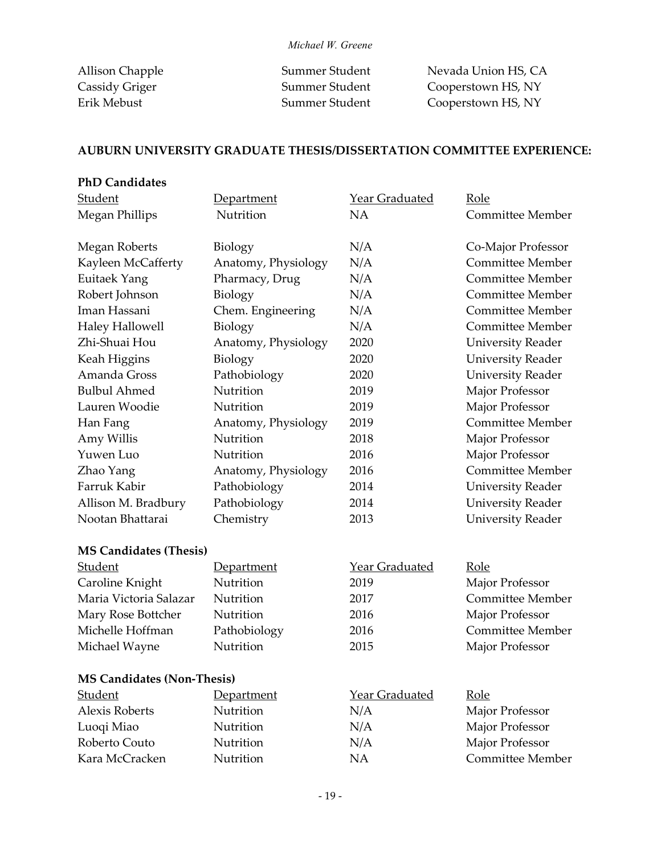Allison Chapple Summer Student Nevada Union HS, CA Cassidy Griger Summer Student Cooperstown HS, NY Erik Mebust Summer Student Cooperstown HS, NY

## **AUBURN UNIVERSITY GRADUATE THESIS/DISSERTATION COMMITTEE EXPERIENCE:**

| <b>PhD Candidates</b> |                     |                       |                          |
|-----------------------|---------------------|-----------------------|--------------------------|
| Student               | Department          | <b>Year Graduated</b> | Role                     |
| Megan Phillips        | Nutrition           | <b>NA</b>             | Committee Member         |
| Megan Roberts         | <b>Biology</b>      | N/A                   | Co-Major Professor       |
| Kayleen McCafferty    | Anatomy, Physiology | N/A                   | <b>Committee Member</b>  |
| <b>Euitaek Yang</b>   | Pharmacy, Drug      | N/A                   | <b>Committee Member</b>  |
| Robert Johnson        | <b>Biology</b>      | N/A                   | <b>Committee Member</b>  |
| Iman Hassani          | Chem. Engineering   | N/A                   | Committee Member         |
| Haley Hallowell       | <b>Biology</b>      | N/A                   | Committee Member         |
| Zhi-Shuai Hou         | Anatomy, Physiology | 2020                  | <b>University Reader</b> |
| Keah Higgins          | Biology             | 2020                  | <b>University Reader</b> |
| Amanda Gross          | Pathobiology        | 2020                  | <b>University Reader</b> |
| <b>Bulbul Ahmed</b>   | Nutrition           | 2019                  | Major Professor          |
| Lauren Woodie         | Nutrition           | 2019                  | Major Professor          |
| Han Fang              | Anatomy, Physiology | 2019                  | <b>Committee Member</b>  |
| Amy Willis            | Nutrition           | 2018                  | Major Professor          |
| Yuwen Luo             | Nutrition           | 2016                  | Major Professor          |
| Zhao Yang             | Anatomy, Physiology | 2016                  | <b>Committee Member</b>  |
| Farruk Kabir          | Pathobiology        | 2014                  | <b>University Reader</b> |
| Allison M. Bradbury   | Pathobiology        | 2014                  | <b>University Reader</b> |
| Nootan Bhattarai      | Chemistry           | 2013                  | <b>University Reader</b> |

#### **MS Candidates (Thesis)**

| Student                | Department   | Year Graduated | Role                    |
|------------------------|--------------|----------------|-------------------------|
| Caroline Knight        | Nutrition    | 2019           | Major Professor         |
| Maria Victoria Salazar | Nutrition    | 2017           | <b>Committee Member</b> |
| Mary Rose Bottcher     | Nutrition    | 2016           | Major Professor         |
| Michelle Hoffman       | Pathobiology | 2016           | <b>Committee Member</b> |
| Michael Wayne          | Nutrition    | 2015           | Major Professor         |

#### **MS Candidates (Non-Thesis)**

| Student               | Department       | Year Graduated | <u>Role</u>      |
|-----------------------|------------------|----------------|------------------|
| <b>Alexis Roberts</b> | Nutrition        | N/A            | Major Professor  |
| Luoqi Miao            | <b>Nutrition</b> | N/A            | Major Professor  |
| Roberto Couto         | <b>Nutrition</b> | N/A            | Major Professor  |
| Kara McCracken        | <b>Nutrition</b> | ΝA             | Committee Member |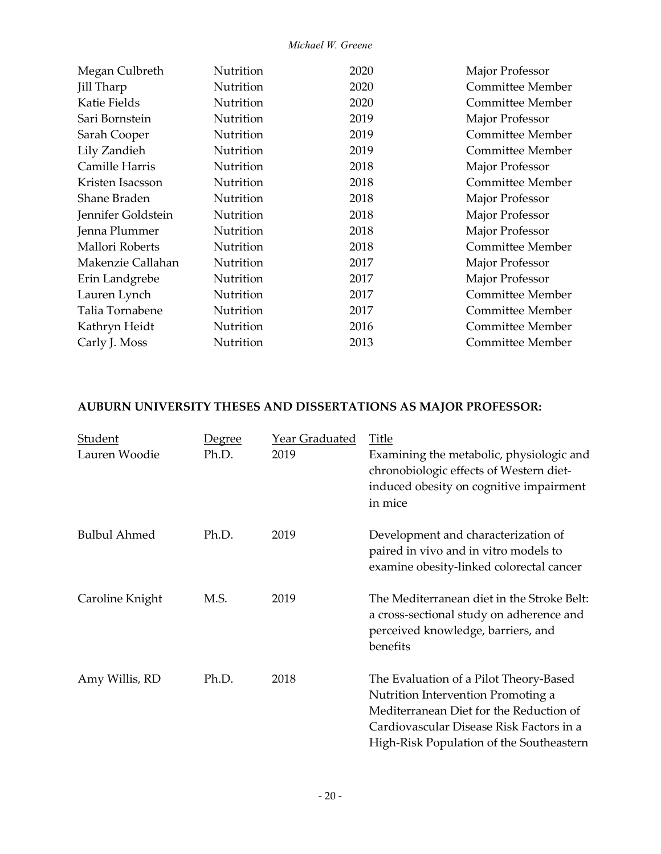| Megan Culbreth     | Nutrition        | 2020 | Major Professor         |
|--------------------|------------------|------|-------------------------|
| Jill Tharp         | Nutrition        | 2020 | Committee Member        |
| Katie Fields       | Nutrition        | 2020 | Committee Member        |
| Sari Bornstein     | Nutrition        | 2019 | Major Professor         |
| Sarah Cooper       | Nutrition        | 2019 | Committee Member        |
| Lily Zandieh       | Nutrition        | 2019 | Committee Member        |
| Camille Harris     | Nutrition        | 2018 | Major Professor         |
| Kristen Isacsson   | Nutrition        | 2018 | Committee Member        |
| Shane Braden       | Nutrition        | 2018 | Major Professor         |
| Jennifer Goldstein | Nutrition        | 2018 | Major Professor         |
| Jenna Plummer      | Nutrition        | 2018 | Major Professor         |
| Mallori Roberts    | Nutrition        | 2018 | Committee Member        |
| Makenzie Callahan  | Nutrition        | 2017 | Major Professor         |
| Erin Landgrebe     | Nutrition        | 2017 | Major Professor         |
| Lauren Lynch       | Nutrition        | 2017 | Committee Member        |
| Talia Tornabene    | <b>Nutrition</b> | 2017 | Committee Member        |
| Kathryn Heidt      | Nutrition        | 2016 | Committee Member        |
| Carly J. Moss      | Nutrition        | 2013 | <b>Committee Member</b> |
|                    |                  |      |                         |

## **AUBURN UNIVERSITY THESES AND DISSERTATIONS AS MAJOR PROFESSOR:**

| <b>Student</b><br>Lauren Woodie | <u>Degree</u><br>Ph.D. | <b>Year Graduated</b><br>2019 | <b>Title</b><br>Examining the metabolic, physiologic and<br>chronobiologic effects of Western diet-<br>induced obesity on cognitive impairment<br>in mice                                                       |
|---------------------------------|------------------------|-------------------------------|-----------------------------------------------------------------------------------------------------------------------------------------------------------------------------------------------------------------|
| <b>Bulbul Ahmed</b>             | Ph.D.                  | 2019                          | Development and characterization of<br>paired in vivo and in vitro models to<br>examine obesity-linked colorectal cancer                                                                                        |
| Caroline Knight                 | M.S.                   | 2019                          | The Mediterranean diet in the Stroke Belt:<br>a cross-sectional study on adherence and<br>perceived knowledge, barriers, and<br>benefits                                                                        |
| Amy Willis, RD                  | Ph.D.                  | 2018                          | The Evaluation of a Pilot Theory-Based<br>Nutrition Intervention Promoting a<br>Mediterranean Diet for the Reduction of<br>Cardiovascular Disease Risk Factors in a<br>High-Risk Population of the Southeastern |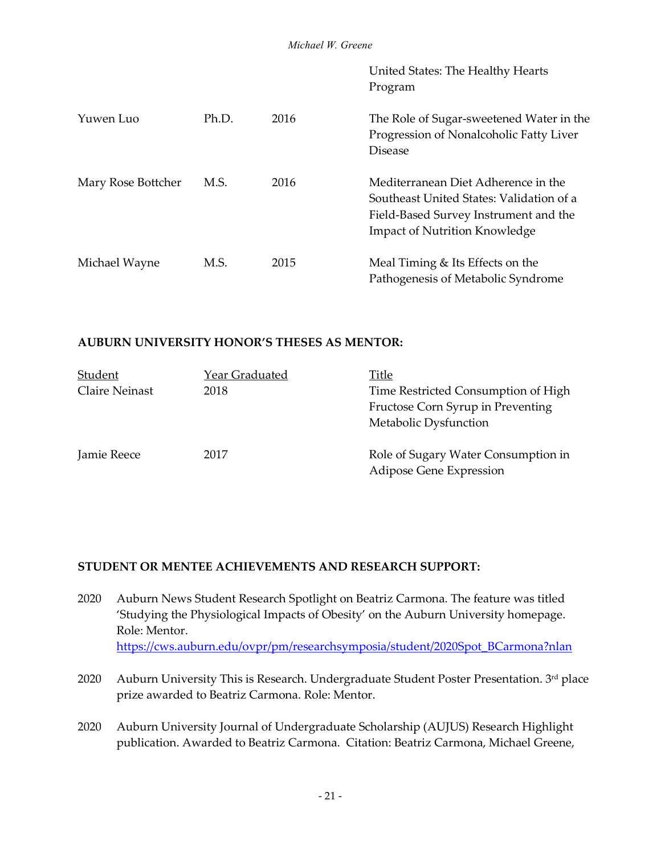|                    |       |      | United States: The Healthy Hearts<br>Program                                                                                                                     |
|--------------------|-------|------|------------------------------------------------------------------------------------------------------------------------------------------------------------------|
| Yuwen Luo          | Ph.D. | 2016 | The Role of Sugar-sweetened Water in the<br>Progression of Nonalcoholic Fatty Liver<br><b>Disease</b>                                                            |
| Mary Rose Bottcher | M.S.  | 2016 | Mediterranean Diet Adherence in the<br>Southeast United States: Validation of a<br>Field-Based Survey Instrument and the<br><b>Impact of Nutrition Knowledge</b> |
| Michael Wayne      | M.S.  | 2015 | Meal Timing & Its Effects on the<br>Pathogenesis of Metabolic Syndrome                                                                                           |

#### **AUBURN UNIVERSITY HONOR'S THESES AS MENTOR:**

| Student               | Year Graduated | Title                                                                                             |
|-----------------------|----------------|---------------------------------------------------------------------------------------------------|
| <b>Claire Neinast</b> | 2018           | Time Restricted Consumption of High<br>Fructose Corn Syrup in Preventing<br>Metabolic Dysfunction |
| Jamie Reece           | 2017           | Role of Sugary Water Consumption in<br>Adipose Gene Expression                                    |

#### **STUDENT OR MENTEE ACHIEVEMENTS AND RESEARCH SUPPORT:**

- 2020 Auburn News Student Research Spotlight on Beatriz Carmona. The feature was titled 'Studying the Physiological Impacts of Obesity' on the Auburn University homepage. Role: Mentor. [https://cws.auburn.edu/ovpr/pm/researchsymposia/student/2020Spot\\_BCarmona?nlan](https://cws.auburn.edu/ovpr/pm/researchsymposia/student/2020Spot_BCarmona?nlan)
- 2020 Auburn University This is Research. Undergraduate Student Poster Presentation. 3rd place prize awarded to Beatriz Carmona. Role: Mentor.
- 2020 Auburn University Journal of Undergraduate Scholarship (AUJUS) Research Highlight publication. Awarded to Beatriz Carmona. Citation: Beatriz Carmona, Michael Greene,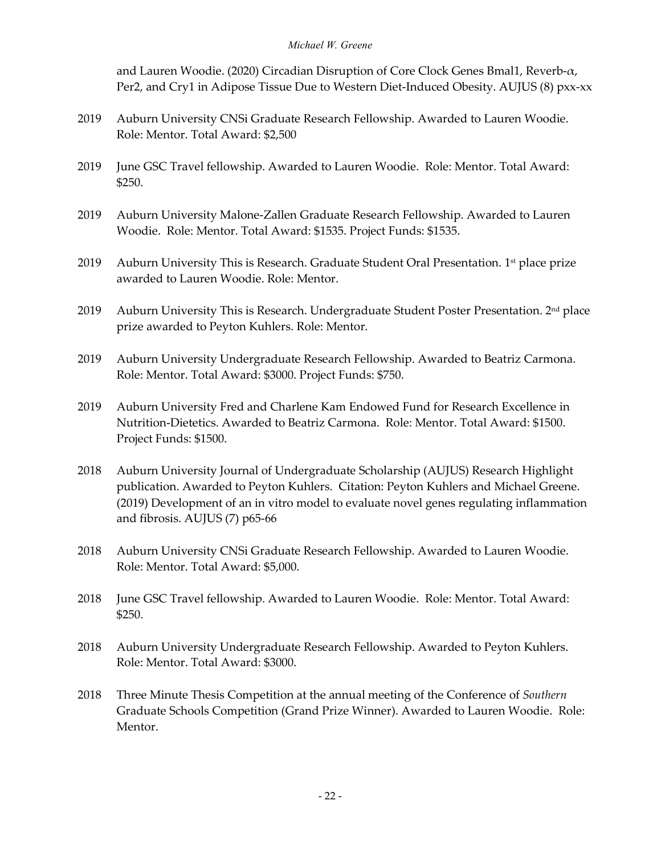and Lauren Woodie. (2020) Circadian Disruption of Core Clock Genes Bmal1, Reverb-α, Per2, and Cry1 in Adipose Tissue Due to Western Diet-Induced Obesity. AUJUS (8) pxx-xx

- 2019 Auburn University CNSi Graduate Research Fellowship. Awarded to Lauren Woodie. Role: Mentor. Total Award: \$2,500
- 2019 June GSC Travel fellowship. Awarded to Lauren Woodie. Role: Mentor. Total Award: \$250.
- 2019 Auburn University Malone-Zallen Graduate Research Fellowship. Awarded to Lauren Woodie. Role: Mentor. Total Award: \$1535. Project Funds: \$1535.
- 2019 Auburn University This is Research. Graduate Student Oral Presentation. 1<sup>st</sup> place prize awarded to Lauren Woodie. Role: Mentor.
- 2019 Auburn University This is Research. Undergraduate Student Poster Presentation.  $2<sup>nd</sup>$  place prize awarded to Peyton Kuhlers. Role: Mentor.
- 2019 Auburn University Undergraduate Research Fellowship. Awarded to Beatriz Carmona. Role: Mentor. Total Award: \$3000. Project Funds: \$750.
- 2019 Auburn University Fred and Charlene Kam Endowed Fund for Research Excellence in Nutrition-Dietetics. Awarded to Beatriz Carmona. Role: Mentor. Total Award: \$1500. Project Funds: \$1500.
- 2018 Auburn University Journal of Undergraduate Scholarship (AUJUS) Research Highlight publication. Awarded to Peyton Kuhlers. Citation: Peyton Kuhlers and Michael Greene. (2019) Development of an in vitro model to evaluate novel genes regulating inflammation and fibrosis. AUJUS (7) p65-66
- 2018 Auburn University CNSi Graduate Research Fellowship. Awarded to Lauren Woodie. Role: Mentor. Total Award: \$5,000.
- 2018 June GSC Travel fellowship. Awarded to Lauren Woodie. Role: Mentor. Total Award: \$250.
- 2018 Auburn University Undergraduate Research Fellowship. Awarded to Peyton Kuhlers. Role: Mentor. Total Award: \$3000.
- 2018 Three Minute Thesis Competition at the annual meeting of the Conference of *Southern* Graduate Schools Competition (Grand Prize Winner). Awarded to Lauren Woodie. Role: Mentor.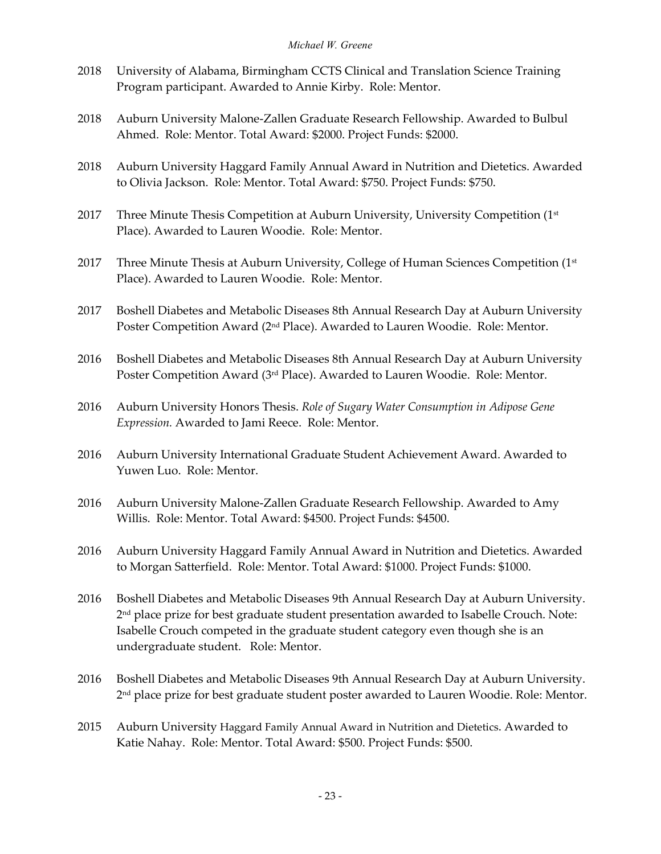- 2018 University of Alabama, Birmingham CCTS Clinical and Translation Science Training Program participant. Awarded to Annie Kirby. Role: Mentor.
- 2018 Auburn University Malone-Zallen Graduate Research Fellowship. Awarded to Bulbul Ahmed. Role: Mentor. Total Award: \$2000. Project Funds: \$2000.
- 2018 Auburn University Haggard Family Annual Award in Nutrition and Dietetics. Awarded to Olivia Jackson. Role: Mentor. Total Award: \$750. Project Funds: \$750.
- 2017 Three Minute Thesis Competition at Auburn University, University Competition (1<sup>st</sup>) Place). Awarded to Lauren Woodie. Role: Mentor.
- 2017 Three Minute Thesis at Auburn University, College of Human Sciences Competition (1st Place). Awarded to Lauren Woodie. Role: Mentor.
- 2017 Boshell Diabetes and Metabolic Diseases 8th Annual Research Day at Auburn University Poster Competition Award (2<sup>nd</sup> Place). Awarded to Lauren Woodie. Role: Mentor.
- 2016 Boshell Diabetes and Metabolic Diseases 8th Annual Research Day at Auburn University Poster Competition Award (3rd Place). Awarded to Lauren Woodie. Role: Mentor.
- 2016 Auburn University Honors Thesis. *Role of Sugary Water Consumption in Adipose Gene Expression.* Awarded to Jami Reece. Role: Mentor.
- 2016 Auburn University International Graduate Student Achievement Award. Awarded to Yuwen Luo. Role: Mentor.
- 2016 Auburn University Malone-Zallen Graduate Research Fellowship. Awarded to Amy Willis. Role: Mentor. Total Award: \$4500. Project Funds: \$4500.
- 2016 Auburn University Haggard Family Annual Award in Nutrition and Dietetics. Awarded to Morgan Satterfield. Role: Mentor. Total Award: \$1000. Project Funds: \$1000.
- 2016 Boshell Diabetes and Metabolic Diseases 9th Annual Research Day at Auburn University. 2<sup>nd</sup> place prize for best graduate student presentation awarded to Isabelle Crouch. Note: Isabelle Crouch competed in the graduate student category even though she is an undergraduate student. Role: Mentor.
- 2016 Boshell Diabetes and Metabolic Diseases 9th Annual Research Day at Auburn University. 2<sup>nd</sup> place prize for best graduate student poster awarded to Lauren Woodie. Role: Mentor.
- 2015 Auburn University Haggard Family Annual Award in Nutrition and Dietetics. Awarded to Katie Nahay. Role: Mentor. Total Award: \$500. Project Funds: \$500.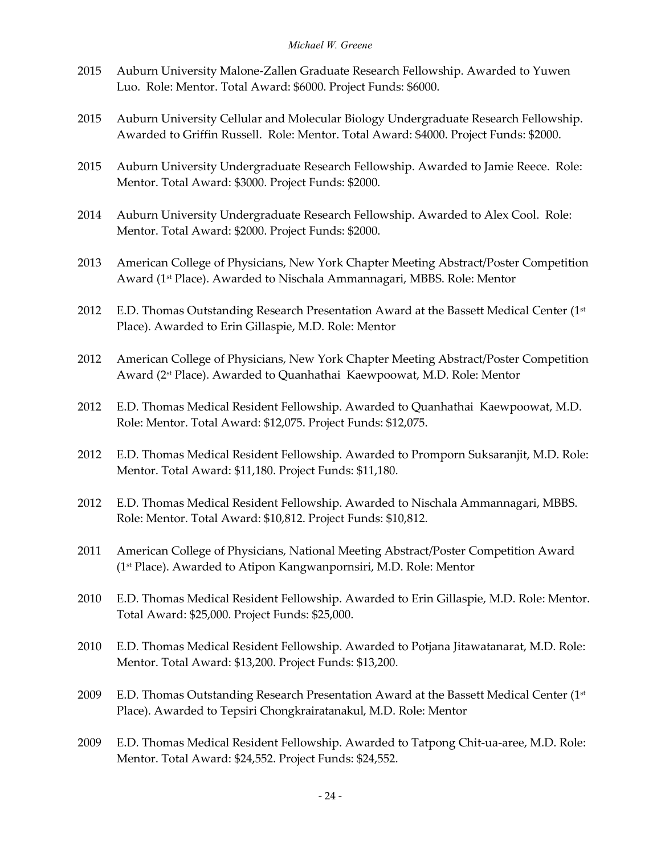- 2015 Auburn University Malone-Zallen Graduate Research Fellowship. Awarded to Yuwen Luo. Role: Mentor. Total Award: \$6000. Project Funds: \$6000.
- 2015 Auburn University Cellular and Molecular Biology Undergraduate Research Fellowship. Awarded to Griffin Russell. Role: Mentor. Total Award: \$4000. Project Funds: \$2000.
- 2015 Auburn University Undergraduate Research Fellowship. Awarded to Jamie Reece. Role: Mentor. Total Award: \$3000. Project Funds: \$2000.
- 2014 Auburn University Undergraduate Research Fellowship. Awarded to Alex Cool. Role: Mentor. Total Award: \$2000. Project Funds: \$2000.
- 2013 American College of Physicians, New York Chapter Meeting Abstract/Poster Competition Award (1st Place). Awarded to Nischala Ammannagari, MBBS. Role: Mentor
- 2012 E.D. Thomas Outstanding Research Presentation Award at the Bassett Medical Center  $(1^{st}$ Place). Awarded to Erin Gillaspie, M.D. Role: Mentor
- 2012 American College of Physicians, New York Chapter Meeting Abstract/Poster Competition Award (2st Place). Awarded to Quanhathai Kaewpoowat, M.D. Role: Mentor
- 2012 E.D. Thomas Medical Resident Fellowship. Awarded to Quanhathai Kaewpoowat, M.D. Role: Mentor. Total Award: \$12,075. Project Funds: \$12,075.
- 2012 E.D. Thomas Medical Resident Fellowship. Awarded to Promporn Suksaranjit, M.D. Role: Mentor. Total Award: \$11,180. Project Funds: \$11,180.
- 2012 E.D. Thomas Medical Resident Fellowship. Awarded to Nischala Ammannagari, MBBS. Role: Mentor. Total Award: \$10,812. Project Funds: \$10,812.
- 2011 American College of Physicians, National Meeting Abstract/Poster Competition Award (1st Place). Awarded to Atipon Kangwanpornsiri, M.D. Role: Mentor
- 2010 E.D. Thomas Medical Resident Fellowship. Awarded to Erin Gillaspie, M.D. Role: Mentor. Total Award: \$25,000. Project Funds: \$25,000.
- 2010 E.D. Thomas Medical Resident Fellowship. Awarded to Potjana Jitawatanarat, M.D. Role: Mentor. Total Award: \$13,200. Project Funds: \$13,200.
- 2009 E.D. Thomas Outstanding Research Presentation Award at the Bassett Medical Center  $(1^{st}$ Place). Awarded to Tepsiri Chongkrairatanakul, M.D. Role: Mentor
- 2009 E.D. Thomas Medical Resident Fellowship. Awarded to Tatpong Chit-ua-aree, M.D. Role: Mentor. Total Award: \$24,552. Project Funds: \$24,552.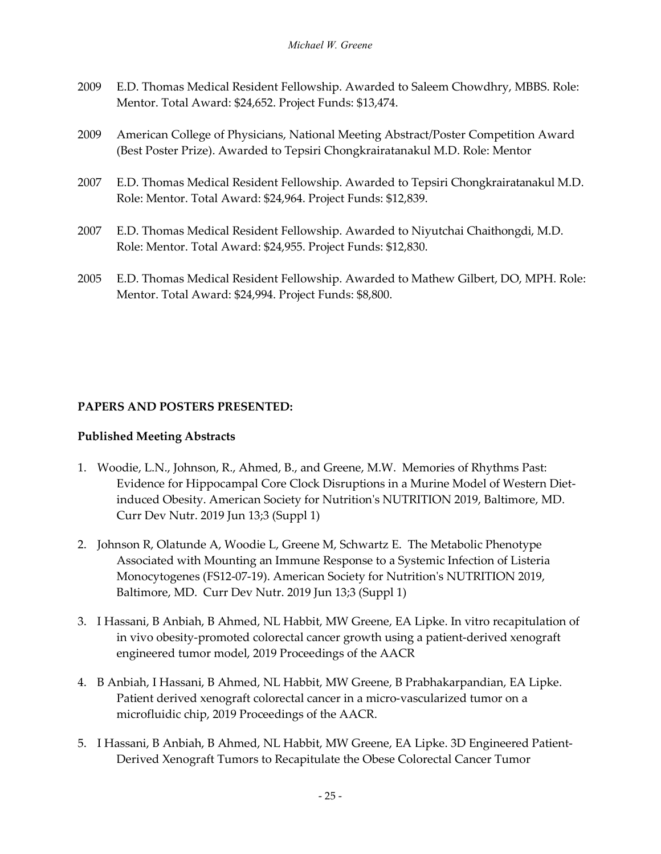- 2009 E.D. Thomas Medical Resident Fellowship. Awarded to Saleem Chowdhry, MBBS. Role: Mentor. Total Award: \$24,652. Project Funds: \$13,474.
- 2009 American College of Physicians, National Meeting Abstract/Poster Competition Award (Best Poster Prize). Awarded to Tepsiri Chongkrairatanakul M.D. Role: Mentor
- 2007 E.D. Thomas Medical Resident Fellowship. Awarded to Tepsiri Chongkrairatanakul M.D. Role: Mentor. Total Award: \$24,964. Project Funds: \$12,839.
- 2007 E.D. Thomas Medical Resident Fellowship. Awarded to Niyutchai Chaithongdi, M.D. Role: Mentor. Total Award: \$24,955. Project Funds: \$12,830.
- 2005 E.D. Thomas Medical Resident Fellowship. Awarded to Mathew Gilbert, DO, MPH. Role: Mentor. Total Award: \$24,994. Project Funds: \$8,800.

## **PAPERS AND POSTERS PRESENTED:**

## **Published Meeting Abstracts**

- 1. Woodie, L.N., Johnson, R., Ahmed, B., and Greene, M.W. Memories of Rhythms Past: Evidence for Hippocampal Core Clock Disruptions in a Murine Model of Western Dietinduced Obesity. American Society for Nutrition's NUTRITION 2019, Baltimore, MD. Curr Dev Nutr. 2019 Jun 13;3 (Suppl 1)
- 2. Johnson R, Olatunde A, Woodie L, Greene M, Schwartz E. The Metabolic Phenotype Associated with Mounting an Immune Response to a Systemic Infection of Listeria Monocytogenes (FS12-07-19). American Society for Nutrition's NUTRITION 2019, Baltimore, MD. Curr Dev Nutr. 2019 Jun 13;3 (Suppl 1)
- 3. I Hassani, B Anbiah, B Ahmed, NL Habbit, MW Greene, EA Lipke. In vitro recapitulation of in vivo obesity-promoted colorectal cancer growth using a patient-derived xenograft engineered tumor model, 2019 Proceedings of the AACR
- 4. B Anbiah, I Hassani, B Ahmed, NL Habbit, MW Greene, B Prabhakarpandian, EA Lipke. Patient derived xenograft colorectal cancer in a micro-vascularized tumor on a microfluidic chip, 2019 Proceedings of the AACR.
- 5. I Hassani, B Anbiah, B Ahmed, NL Habbit, MW Greene, EA Lipke. 3D Engineered Patient-Derived Xenograft Tumors to Recapitulate the Obese Colorectal Cancer Tumor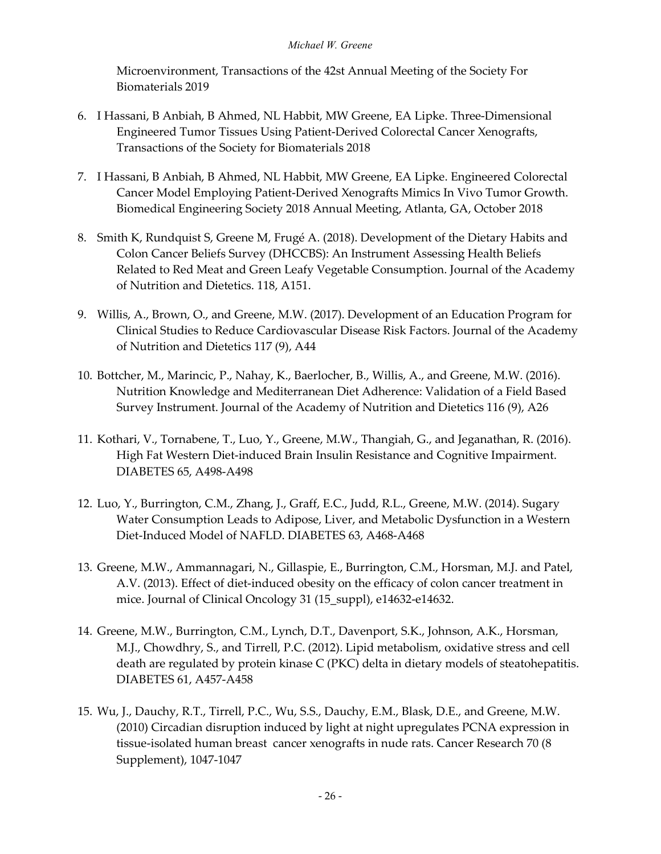Microenvironment, Transactions of the 42st Annual Meeting of the Society For Biomaterials 2019

- 6. I Hassani, B Anbiah, B Ahmed, NL Habbit, MW Greene, EA Lipke. Three-Dimensional Engineered Tumor Tissues Using Patient-Derived Colorectal Cancer Xenografts, Transactions of the Society for Biomaterials 2018
- 7. I Hassani, B Anbiah, B Ahmed, NL Habbit, MW Greene, EA Lipke. Engineered Colorectal Cancer Model Employing Patient-Derived Xenografts Mimics In Vivo Tumor Growth. Biomedical Engineering Society 2018 Annual Meeting, Atlanta, GA, October 2018
- 8. Smith K, Rundquist S, Greene M, Frugé A. (2018). Development of the Dietary Habits and Colon Cancer Beliefs Survey (DHCCBS): An Instrument Assessing Health Beliefs Related to Red Meat and Green Leafy Vegetable Consumption. Journal of the Academy of Nutrition and Dietetics. 118, A151.
- 9. Willis, A., Brown, O., and Greene, M.W. (2017). Development of an Education Program for Clinical Studies to Reduce Cardiovascular Disease Risk Factors. Journal of the Academy of Nutrition and Dietetics 117 (9), A44
- 10. Bottcher, M., Marincic, P., Nahay, K., Baerlocher, B., Willis, A., and Greene, M.W. (2016). Nutrition Knowledge and Mediterranean Diet Adherence: Validation of a Field Based Survey Instrument. Journal of the Academy of Nutrition and Dietetics 116 (9), A26
- 11. Kothari, V., Tornabene, T., Luo, Y., Greene, M.W., Thangiah, G., and Jeganathan, R. (2016). High Fat Western Diet-induced Brain Insulin Resistance and Cognitive Impairment. DIABETES 65, A498-A498
- 12. Luo, Y., Burrington, C.M., Zhang, J., Graff, E.C., Judd, R.L., Greene, M.W. (2014). Sugary Water Consumption Leads to Adipose, Liver, and Metabolic Dysfunction in a Western Diet-Induced Model of NAFLD. DIABETES 63, A468-A468
- 13. Greene, M.W., Ammannagari, N., Gillaspie, E., Burrington, C.M., Horsman, M.J. and Patel, A.V. (2013). Effect of diet-induced obesity on the efficacy of colon cancer treatment in mice. Journal of Clinical Oncology 31 (15\_suppl), e14632-e14632.
- 14. Greene, M.W., Burrington, C.M., Lynch, D.T., Davenport, S.K., Johnson, A.K., Horsman, M.J., Chowdhry, S., and Tirrell, P.C. (2012). Lipid metabolism, oxidative stress and cell death are regulated by protein kinase C (PKC) delta in dietary models of steatohepatitis. DIABETES 61, A457-A458
- 15. Wu, J., Dauchy, R.T., Tirrell, P.C., Wu, S.S., Dauchy, E.M., Blask, D.E., and Greene, M.W. (2010) Circadian disruption induced by light at night upregulates PCNA expression in tissue-isolated human breast cancer xenografts in nude rats. Cancer Research 70 (8 Supplement), 1047-1047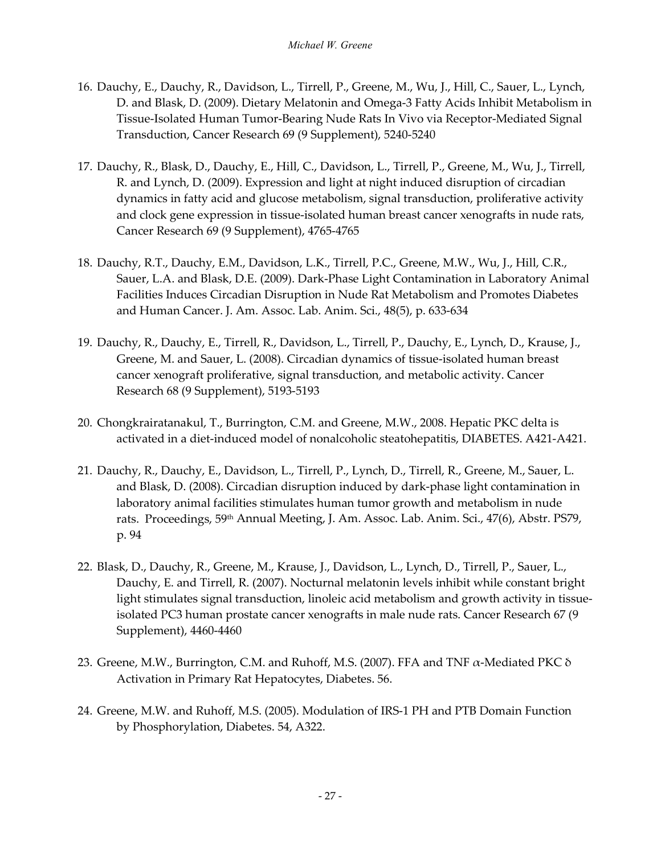- 16. Dauchy, E., Dauchy, R., Davidson, L., Tirrell, P., Greene, M., Wu, J., Hill, C., Sauer, L., Lynch, D. and Blask, D. (2009). Dietary Melatonin and Omega-3 Fatty Acids Inhibit Metabolism in Tissue-Isolated Human Tumor-Bearing Nude Rats In Vivo via Receptor-Mediated Signal Transduction, Cancer Research 69 (9 Supplement), 5240-5240
- 17. Dauchy, R., Blask, D., Dauchy, E., Hill, C., Davidson, L., Tirrell, P., Greene, M., Wu, J., Tirrell, R. and Lynch, D. (2009). Expression and light at night induced disruption of circadian dynamics in fatty acid and glucose metabolism, signal transduction, proliferative activity and clock gene expression in tissue-isolated human breast cancer xenografts in nude rats, Cancer Research 69 (9 Supplement), 4765-4765
- 18. Dauchy, R.T., Dauchy, E.M., Davidson, L.K., Tirrell, P.C., Greene, M.W., Wu, J., Hill, C.R., Sauer, L.A. and Blask, D.E. (2009). Dark-Phase Light Contamination in Laboratory Animal Facilities Induces Circadian Disruption in Nude Rat Metabolism and Promotes Diabetes and Human Cancer. J. Am. Assoc. Lab. Anim. Sci., 48(5), p. 633-634
- 19. Dauchy, R., Dauchy, E., Tirrell, R., Davidson, L., Tirrell, P., Dauchy, E., Lynch, D., Krause, J., Greene, M. and Sauer, L. (2008). Circadian dynamics of tissue-isolated human breast cancer xenograft proliferative, signal transduction, and metabolic activity. Cancer Research 68 (9 Supplement), 5193-5193
- 20. Chongkrairatanakul, T., Burrington, C.M. and Greene, M.W., 2008. Hepatic PKC delta is activated in a diet-induced model of nonalcoholic steatohepatitis, DIABETES. A421-A421.
- 21. Dauchy, R., Dauchy, E., Davidson, L., Tirrell, P., Lynch, D., Tirrell, R., Greene, M., Sauer, L. and Blask, D. (2008). Circadian disruption induced by dark-phase light contamination in laboratory animal facilities stimulates human tumor growth and metabolism in nude rats. Proceedings, 59th Annual Meeting, J. Am. Assoc. Lab. Anim. Sci., 47(6), Abstr. PS79, p. 94
- 22. Blask, D., Dauchy, R., Greene, M., Krause, J., Davidson, L., Lynch, D., Tirrell, P., Sauer, L., Dauchy, E. and Tirrell, R. (2007). Nocturnal melatonin levels inhibit while constant bright light stimulates signal transduction, linoleic acid metabolism and growth activity in tissueisolated PC3 human prostate cancer xenografts in male nude rats. Cancer Research 67 (9 Supplement), 4460-4460
- 23. Greene, M.W., Burrington, C.M. and Ruhoff, M.S. (2007). FFA and TNF  $\alpha$ -Mediated PKC  $\delta$ Activation in Primary Rat Hepatocytes, Diabetes. 56.
- 24. Greene, M.W. and Ruhoff, M.S. (2005). Modulation of IRS-1 PH and PTB Domain Function by Phosphorylation, Diabetes. 54, A322.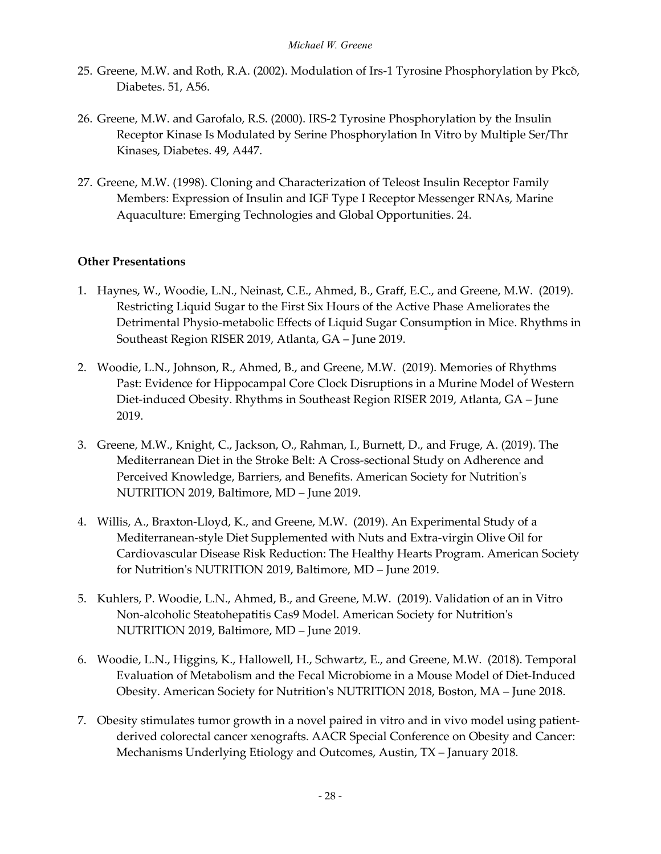- 25. Greene, M.W. and Roth, R.A. (2002). Modulation of Irs-1 Tyrosine Phosphorylation by Pkcδ, Diabetes. 51, A56.
- 26. Greene, M.W. and Garofalo, R.S. (2000). IRS-2 Tyrosine Phosphorylation by the Insulin Receptor Kinase Is Modulated by Serine Phosphorylation In Vitro by Multiple Ser/Thr Kinases, Diabetes. 49, A447.
- 27. Greene, M.W. (1998). Cloning and Characterization of Teleost Insulin Receptor Family Members: Expression of Insulin and IGF Type I Receptor Messenger RNAs, Marine Aquaculture: Emerging Technologies and Global Opportunities. 24.

## **Other Presentations**

- 1. Haynes, W., Woodie, L.N., Neinast, C.E., Ahmed, B., Graff, E.C., and Greene, M.W. (2019). Restricting Liquid Sugar to the First Six Hours of the Active Phase Ameliorates the Detrimental Physio-metabolic Effects of Liquid Sugar Consumption in Mice. Rhythms in Southeast Region RISER 2019, Atlanta, GA – June 2019.
- 2. Woodie, L.N., Johnson, R., Ahmed, B., and Greene, M.W. (2019). Memories of Rhythms Past: Evidence for Hippocampal Core Clock Disruptions in a Murine Model of Western Diet-induced Obesity. Rhythms in Southeast Region RISER 2019, Atlanta, GA – June 2019.
- 3. Greene, M.W., Knight, C., Jackson, O., Rahman, I., Burnett, D., and Fruge, A. (2019). The Mediterranean Diet in the Stroke Belt: A Cross-sectional Study on Adherence and Perceived Knowledge, Barriers, and Benefits. American Society for Nutrition's NUTRITION 2019, Baltimore, MD – June 2019.
- 4. Willis, A., Braxton-Lloyd, K., and Greene, M.W. (2019). An Experimental Study of a Mediterranean-style Diet Supplemented with Nuts and Extra-virgin Olive Oil for Cardiovascular Disease Risk Reduction: The Healthy Hearts Program. American Society for Nutrition's NUTRITION 2019, Baltimore, MD – June 2019.
- 5. Kuhlers, P. Woodie, L.N., Ahmed, B., and Greene, M.W. (2019). Validation of an in Vitro Non-alcoholic Steatohepatitis Cas9 Model. American Society for Nutrition's NUTRITION 2019, Baltimore, MD – June 2019.
- 6. Woodie, L.N., Higgins, K., Hallowell, H., Schwartz, E., and Greene, M.W. (2018). Temporal Evaluation of Metabolism and the Fecal Microbiome in a Mouse Model of Diet-Induced Obesity. American Society for Nutrition's NUTRITION 2018, Boston, MA – June 2018.
- 7. Obesity stimulates tumor growth in a novel paired in vitro and in vivo model using patientderived colorectal cancer xenografts. AACR Special Conference on Obesity and Cancer: Mechanisms Underlying Etiology and Outcomes, Austin, TX – January 2018.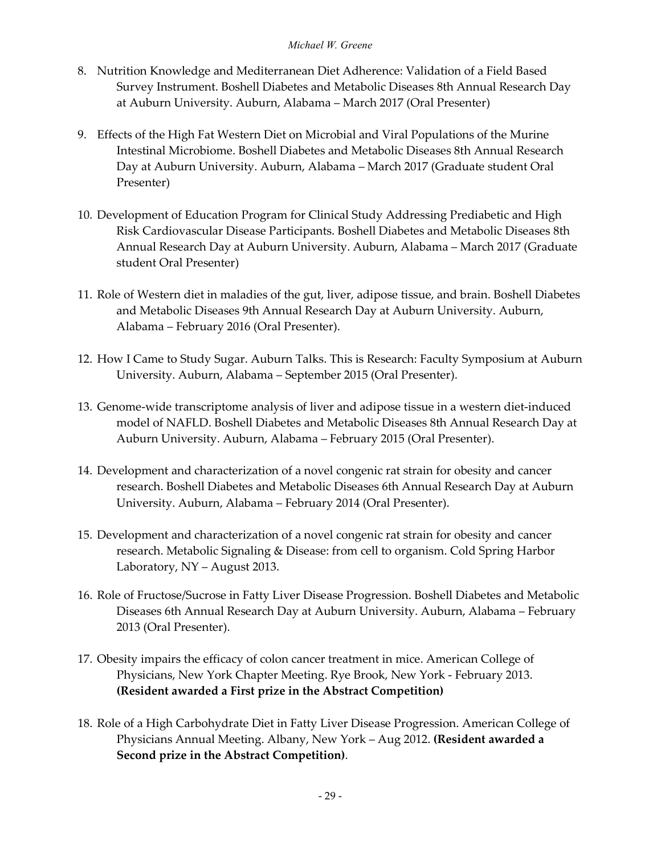- 8. Nutrition Knowledge and Mediterranean Diet Adherence: Validation of a Field Based Survey Instrument. Boshell Diabetes and Metabolic Diseases 8th Annual Research Day at Auburn University. Auburn, Alabama – March 2017 (Oral Presenter)
- 9. Effects of the High Fat Western Diet on Microbial and Viral Populations of the Murine Intestinal Microbiome. Boshell Diabetes and Metabolic Diseases 8th Annual Research Day at Auburn University. Auburn, Alabama – March 2017 (Graduate student Oral Presenter)
- 10. Development of Education Program for Clinical Study Addressing Prediabetic and High Risk Cardiovascular Disease Participants. Boshell Diabetes and Metabolic Diseases 8th Annual Research Day at Auburn University. Auburn, Alabama – March 2017 (Graduate student Oral Presenter)
- 11. Role of Western diet in maladies of the gut, liver, adipose tissue, and brain. Boshell Diabetes and Metabolic Diseases 9th Annual Research Day at Auburn University. Auburn, Alabama – February 2016 (Oral Presenter).
- 12. How I Came to Study Sugar. Auburn Talks. This is Research: Faculty Symposium at Auburn University. Auburn, Alabama – September 2015 (Oral Presenter).
- 13. Genome-wide transcriptome analysis of liver and adipose tissue in a western diet-induced model of NAFLD. Boshell Diabetes and Metabolic Diseases 8th Annual Research Day at Auburn University. Auburn, Alabama – February 2015 (Oral Presenter).
- 14. Development and characterization of a novel congenic rat strain for obesity and cancer research. Boshell Diabetes and Metabolic Diseases 6th Annual Research Day at Auburn University. Auburn, Alabama – February 2014 (Oral Presenter).
- 15. Development and characterization of a novel congenic rat strain for obesity and cancer research. Metabolic Signaling & Disease: from cell to organism. Cold Spring Harbor Laboratory, NY – August 2013.
- 16. Role of Fructose/Sucrose in Fatty Liver Disease Progression. Boshell Diabetes and Metabolic Diseases 6th Annual Research Day at Auburn University. Auburn, Alabama – February 2013 (Oral Presenter).
- 17. Obesity impairs the efficacy of colon cancer treatment in mice. American College of Physicians, New York Chapter Meeting. Rye Brook, New York - February 2013. **(Resident awarded a First prize in the Abstract Competition)**
- 18. Role of a High Carbohydrate Diet in Fatty Liver Disease Progression. American College of Physicians Annual Meeting. Albany, New York – Aug 2012. **(Resident awarded a Second prize in the Abstract Competition)**.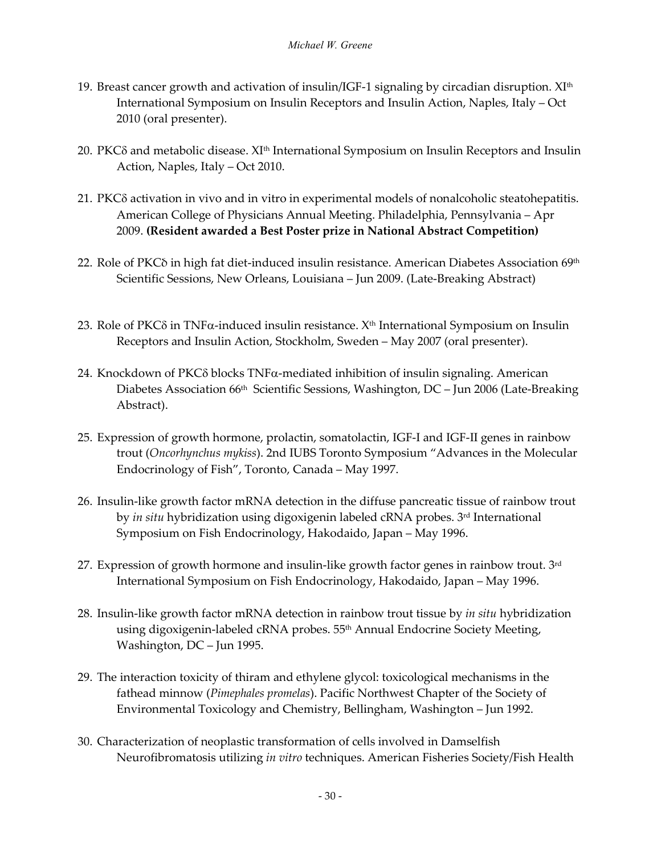- 19. Breast cancer growth and activation of insulin/IGF-1 signaling by circadian disruption.  $XI<sup>th</sup>$ International Symposium on Insulin Receptors and Insulin Action, Naples, Italy – Oct 2010 (oral presenter).
- 20. PKCδ and metabolic disease. XIth International Symposium on Insulin Receptors and Insulin Action, Naples, Italy – Oct 2010.
- 21. PKCδ activation in vivo and in vitro in experimental models of nonalcoholic steatohepatitis. American College of Physicians Annual Meeting. Philadelphia, Pennsylvania – Apr 2009. **(Resident awarded a Best Poster prize in National Abstract Competition)**
- 22. Role of PKC<sub>o</sub> in high fat diet-induced insulin resistance. American Diabetes Association 69<sup>th</sup> Scientific Sessions, New Orleans, Louisiana – Jun 2009. (Late-Breaking Abstract)
- 23. Role of PKCδ in TNFα-induced insulin resistance. Xth International Symposium on Insulin Receptors and Insulin Action, Stockholm, Sweden – May 2007 (oral presenter).
- 24. Knockdown of PKCδ blocks TNFα-mediated inhibition of insulin signaling. American Diabetes Association 66<sup>th</sup> Scientific Sessions, Washington, DC - Jun 2006 (Late-Breaking Abstract).
- 25. Expression of growth hormone, prolactin, somatolactin, IGF-I and IGF-II genes in rainbow trout (*Oncorhynchus mykiss*). 2nd IUBS Toronto Symposium "Advances in the Molecular Endocrinology of Fish", Toronto, Canada – May 1997.
- 26. Insulin-like growth factor mRNA detection in the diffuse pancreatic tissue of rainbow trout by *in situ* hybridization using digoxigenin labeled cRNA probes. 3rd International Symposium on Fish Endocrinology, Hakodaido, Japan – May 1996.
- 27. Expression of growth hormone and insulin-like growth factor genes in rainbow trout.  $3<sup>rd</sup>$ International Symposium on Fish Endocrinology, Hakodaido, Japan – May 1996.
- 28. Insulin-like growth factor mRNA detection in rainbow trout tissue by *in situ* hybridization using digoxigenin-labeled cRNA probes. 55<sup>th</sup> Annual Endocrine Society Meeting, Washington, DC – Jun 1995.
- 29. The interaction toxicity of thiram and ethylene glycol: toxicological mechanisms in the fathead minnow (*Pimephales promelas*). Pacific Northwest Chapter of the Society of Environmental Toxicology and Chemistry, Bellingham, Washington – Jun 1992.
- 30. Characterization of neoplastic transformation of cells involved in Damselfish Neurofibromatosis utilizing *in vitro* techniques. American Fisheries Society/Fish Health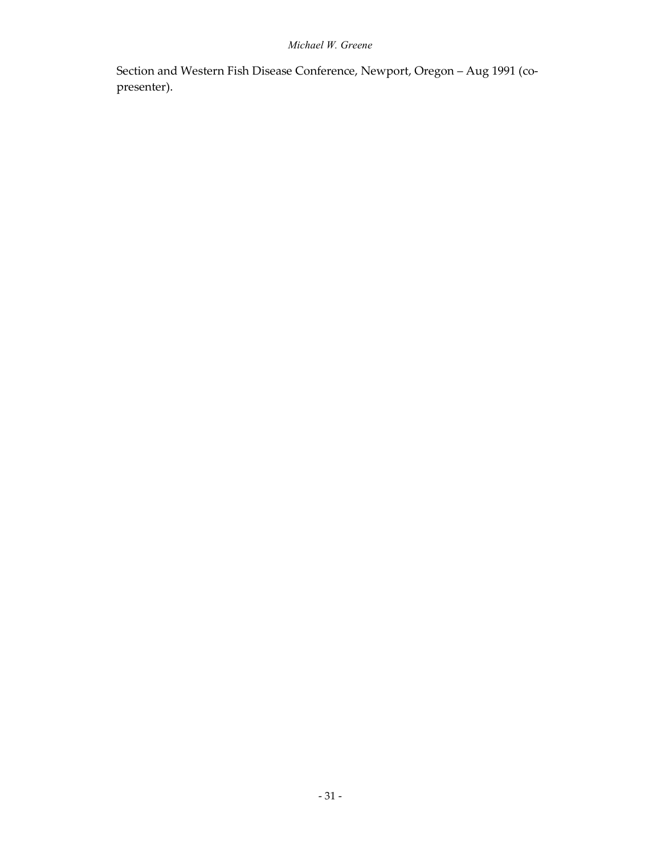Section and Western Fish Disease Conference, Newport, Oregon – Aug 1991 (copresenter).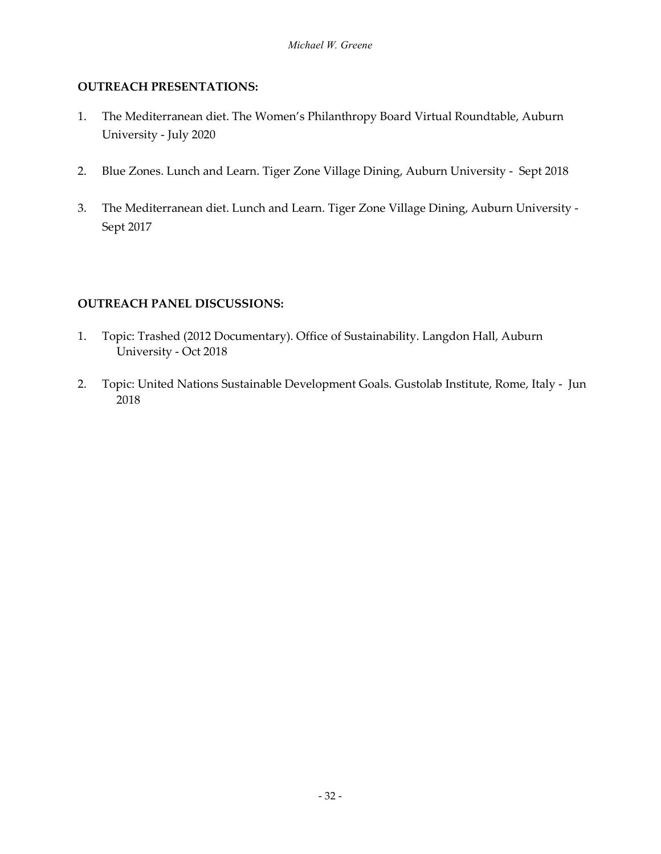## **OUTREACH PRESENTATIONS:**

- 1. The Mediterranean diet. The Women's Philanthropy Board Virtual Roundtable, Auburn University - July 2020
- 2. Blue Zones. Lunch and Learn. Tiger Zone Village Dining, Auburn University Sept 2018
- 3. The Mediterranean diet. Lunch and Learn. Tiger Zone Village Dining, Auburn University Sept 2017

#### **OUTREACH PANEL DISCUSSIONS:**

- 1. Topic: Trashed (2012 Documentary). Office of Sustainability. Langdon Hall, Auburn University - Oct 2018
- 2. Topic: United Nations Sustainable Development Goals. Gustolab Institute, Rome, Italy Jun 2018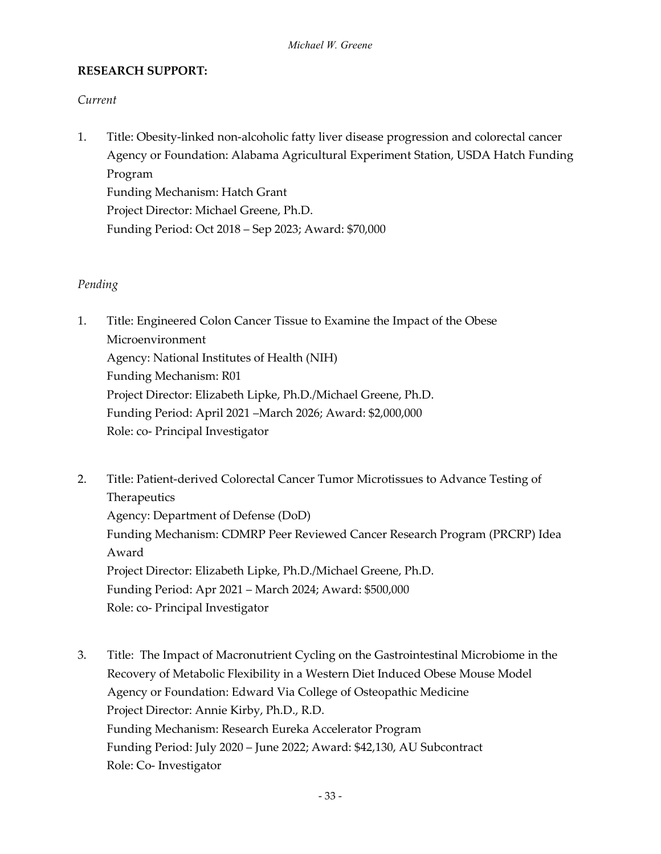#### **RESEARCH SUPPORT:**

#### *Current*

1. Title: Obesity-linked non-alcoholic fatty liver disease progression and colorectal cancer Agency or Foundation: Alabama Agricultural Experiment Station, USDA Hatch Funding Program Funding Mechanism: Hatch Grant

Project Director: Michael Greene, Ph.D. Funding Period: Oct 2018 – Sep 2023; Award: \$70,000

#### *Pending*

- 1. Title: Engineered Colon Cancer Tissue to Examine the Impact of the Obese Microenvironment Agency: National Institutes of Health (NIH) Funding Mechanism: R01 Project Director: Elizabeth Lipke, Ph.D./Michael Greene, Ph.D. Funding Period: April 2021 –March 2026; Award: \$2,000,000 Role: co- Principal Investigator
- 2. Title: Patient-derived Colorectal Cancer Tumor Microtissues to Advance Testing of Therapeutics Agency: Department of Defense (DoD) Funding Mechanism: CDMRP Peer Reviewed Cancer Research Program (PRCRP) Idea Award Project Director: Elizabeth Lipke, Ph.D./Michael Greene, Ph.D. Funding Period: Apr 2021 – March 2024; Award: \$500,000 Role: co- Principal Investigator
- 3. Title: The Impact of Macronutrient Cycling on the Gastrointestinal Microbiome in the Recovery of Metabolic Flexibility in a Western Diet Induced Obese Mouse Model Agency or Foundation: Edward Via College of Osteopathic Medicine Project Director: Annie Kirby, Ph.D., R.D. Funding Mechanism: Research Eureka Accelerator Program Funding Period: July 2020 – June 2022; Award: \$42,130, AU Subcontract Role: Co- Investigator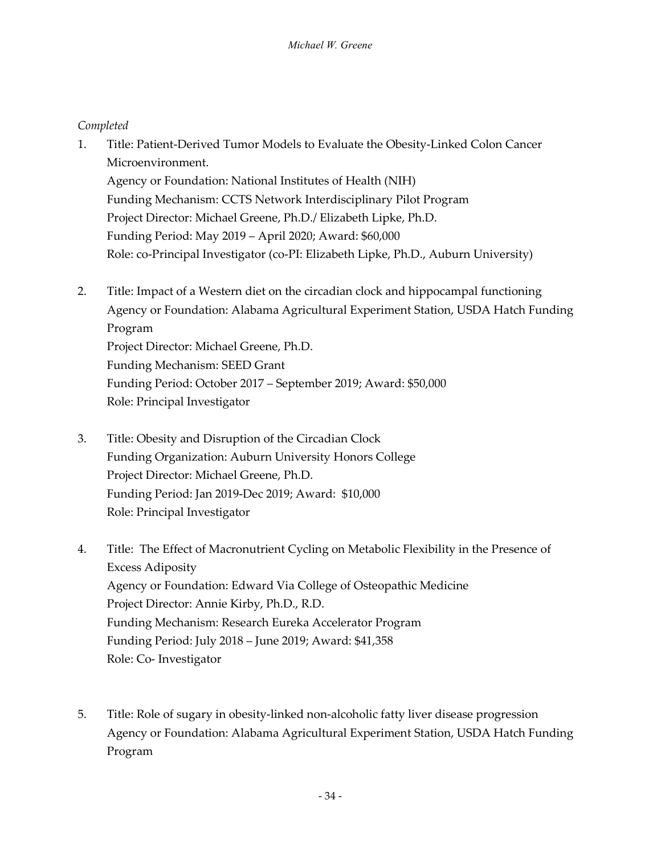#### *Completed*

1. Title: Patient-Derived Tumor Models to Evaluate the Obesity-Linked Colon Cancer Microenvironment.

Agency or Foundation: National Institutes of Health (NIH) Funding Mechanism: CCTS Network Interdisciplinary Pilot Program Project Director: Michael Greene, Ph.D./ Elizabeth Lipke, Ph.D. Funding Period: May 2019 – April 2020; Award: \$60,000 Role: co-Principal Investigator (co-PI: Elizabeth Lipke, Ph.D., Auburn University)

- 2. Title: Impact of a Western diet on the circadian clock and hippocampal functioning Agency or Foundation: Alabama Agricultural Experiment Station, USDA Hatch Funding Program Project Director: Michael Greene, Ph.D. Funding Mechanism: SEED Grant Funding Period: October 2017 – September 2019; Award: \$50,000 Role: Principal Investigator
- 3. Title: Obesity and Disruption of the Circadian Clock Funding Organization: Auburn University Honors College Project Director: Michael Greene, Ph.D. Funding Period: Jan 2019-Dec 2019; Award: \$10,000 Role: Principal Investigator
- 4. Title: The Effect of Macronutrient Cycling on Metabolic Flexibility in the Presence of Excess Adiposity Agency or Foundation: Edward Via College of Osteopathic Medicine Project Director: Annie Kirby, Ph.D., R.D. Funding Mechanism: Research Eureka Accelerator Program Funding Period: July 2018 – June 2019; Award: \$41,358 Role: Co- Investigator
- 5. Title: Role of sugary in obesity-linked non-alcoholic fatty liver disease progression Agency or Foundation: Alabama Agricultural Experiment Station, USDA Hatch Funding Program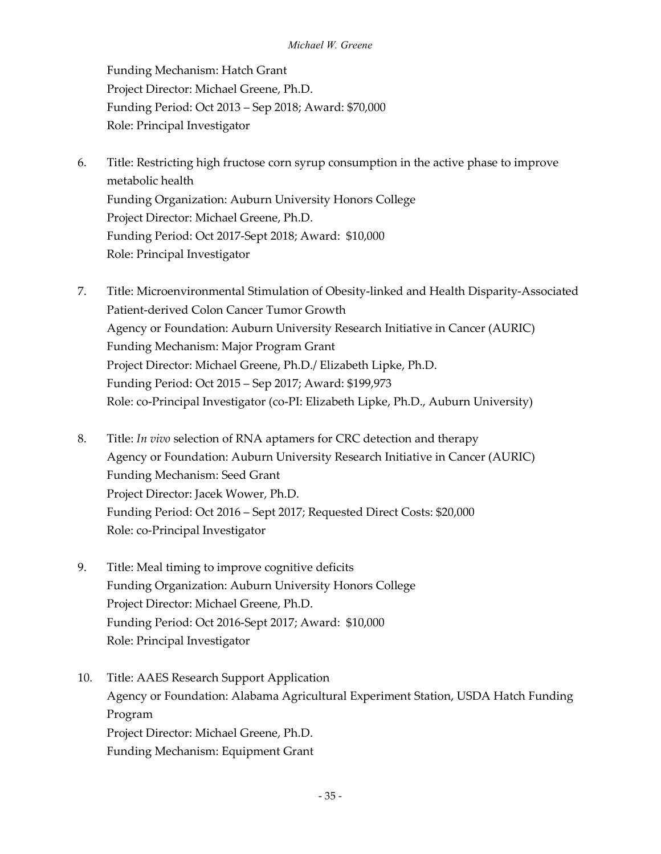Funding Mechanism: Hatch Grant Project Director: Michael Greene, Ph.D. Funding Period: Oct 2013 – Sep 2018; Award: \$70,000 Role: Principal Investigator

- 6. Title: Restricting high fructose corn syrup consumption in the active phase to improve metabolic health Funding Organization: Auburn University Honors College Project Director: Michael Greene, Ph.D. Funding Period: Oct 2017-Sept 2018; Award: \$10,000 Role: Principal Investigator
- 7. Title: Microenvironmental Stimulation of Obesity-linked and Health Disparity-Associated Patient-derived Colon Cancer Tumor Growth Agency or Foundation: Auburn University Research Initiative in Cancer (AURIC) Funding Mechanism: Major Program Grant Project Director: Michael Greene, Ph.D./ Elizabeth Lipke, Ph.D. Funding Period: Oct 2015 – Sep 2017; Award: \$199,973 Role: co-Principal Investigator (co-PI: Elizabeth Lipke, Ph.D., Auburn University)
- 8. Title: *In vivo* selection of RNA aptamers for CRC detection and therapy Agency or Foundation: Auburn University Research Initiative in Cancer (AURIC) Funding Mechanism: Seed Grant Project Director: Jacek Wower, Ph.D. Funding Period: Oct 2016 – Sept 2017; Requested Direct Costs: \$20,000 Role: co-Principal Investigator
- 9. Title: Meal timing to improve cognitive deficits Funding Organization: Auburn University Honors College Project Director: Michael Greene, Ph.D. Funding Period: Oct 2016-Sept 2017; Award: \$10,000 Role: Principal Investigator
- 10. Title: AAES Research Support Application Agency or Foundation: Alabama Agricultural Experiment Station, USDA Hatch Funding Program Project Director: Michael Greene, Ph.D. Funding Mechanism: Equipment Grant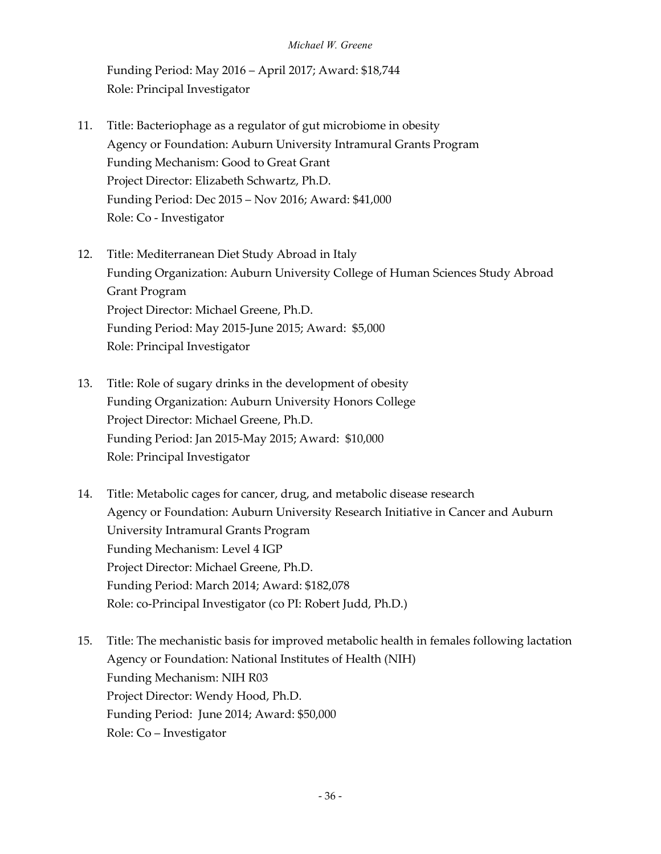Funding Period: May 2016 – April 2017; Award: \$18,744 Role: Principal Investigator

- 11. Title: Bacteriophage as a regulator of gut microbiome in obesity Agency or Foundation: Auburn University Intramural Grants Program Funding Mechanism: Good to Great Grant Project Director: Elizabeth Schwartz, Ph.D. Funding Period: Dec 2015 – Nov 2016; Award: \$41,000 Role: Co - Investigator
- 12. Title: Mediterranean Diet Study Abroad in Italy Funding Organization: Auburn University College of Human Sciences Study Abroad Grant Program Project Director: Michael Greene, Ph.D. Funding Period: May 2015-June 2015; Award: \$5,000 Role: Principal Investigator
- 13. Title: Role of sugary drinks in the development of obesity Funding Organization: Auburn University Honors College Project Director: Michael Greene, Ph.D. Funding Period: Jan 2015-May 2015; Award: \$10,000 Role: Principal Investigator
- 14. Title: Metabolic cages for cancer, drug, and metabolic disease research Agency or Foundation: Auburn University Research Initiative in Cancer and Auburn University Intramural Grants Program Funding Mechanism: Level 4 IGP Project Director: Michael Greene, Ph.D. Funding Period: March 2014; Award: \$182,078 Role: co-Principal Investigator (co PI: Robert Judd, Ph.D.)
- 15. Title: The mechanistic basis for improved metabolic health in females following lactation Agency or Foundation: National Institutes of Health (NIH) Funding Mechanism: NIH R03 Project Director: Wendy Hood, Ph.D. Funding Period: June 2014; Award: \$50,000 Role: Co – Investigator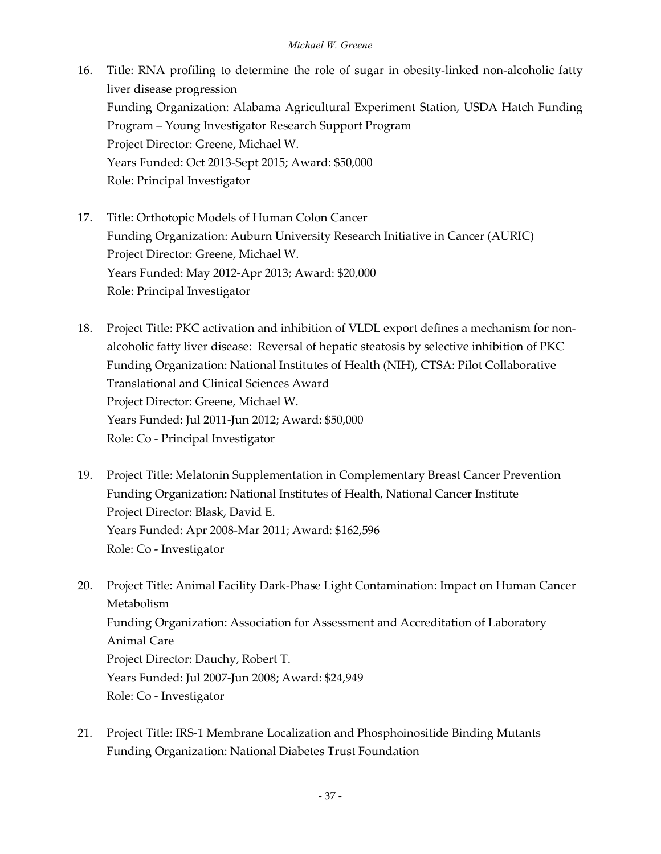- 16. Title: RNA profiling to determine the role of sugar in obesity-linked non-alcoholic fatty liver disease progression Funding Organization: Alabama Agricultural Experiment Station, USDA Hatch Funding Program – Young Investigator Research Support Program Project Director: Greene, Michael W. Years Funded: Oct 2013-Sept 2015; Award: \$50,000 Role: Principal Investigator
- 17. Title: Orthotopic Models of Human Colon Cancer Funding Organization: Auburn University Research Initiative in Cancer (AURIC) Project Director: Greene, Michael W. Years Funded: May 2012-Apr 2013; Award: \$20,000 Role: Principal Investigator
- 18. Project Title: PKC activation and inhibition of VLDL export defines a mechanism for nonalcoholic fatty liver disease: Reversal of hepatic steatosis by selective inhibition of PKC Funding Organization: National Institutes of Health (NIH), CTSA: Pilot Collaborative Translational and Clinical Sciences Award Project Director: Greene, Michael W. Years Funded: Jul 2011-Jun 2012; Award: \$50,000 Role: Co - Principal Investigator
- 19. Project Title: Melatonin Supplementation in Complementary Breast Cancer Prevention Funding Organization: National Institutes of Health, National Cancer Institute Project Director: Blask, David E. Years Funded: Apr 2008-Mar 2011; Award: \$162,596 Role: Co - Investigator
- 20. Project Title: Animal Facility Dark-Phase Light Contamination: Impact on Human Cancer Metabolism Funding Organization: Association for Assessment and Accreditation of Laboratory Animal Care Project Director: Dauchy, Robert T. Years Funded: Jul 2007-Jun 2008; Award: \$24,949 Role: Co - Investigator
- 21. Project Title: IRS-1 Membrane Localization and Phosphoinositide Binding Mutants Funding Organization: National Diabetes Trust Foundation